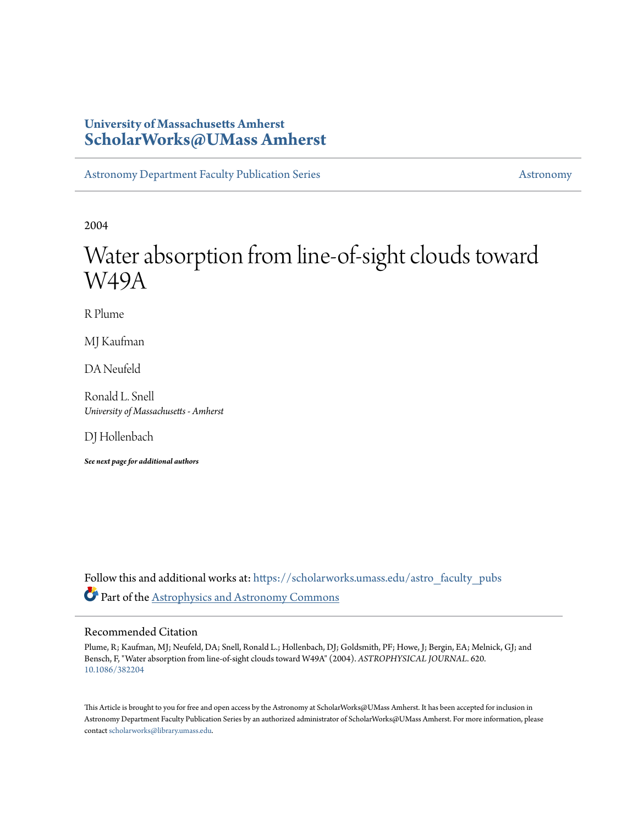# **University of Massachusetts Amherst [ScholarWorks@UMass Amherst](https://scholarworks.umass.edu?utm_source=scholarworks.umass.edu%2Fastro_faculty_pubs%2F620&utm_medium=PDF&utm_campaign=PDFCoverPages)**

[Astronomy Department Faculty Publication Series](https://scholarworks.umass.edu/astro_faculty_pubs?utm_source=scholarworks.umass.edu%2Fastro_faculty_pubs%2F620&utm_medium=PDF&utm_campaign=PDFCoverPages) [Astronomy](https://scholarworks.umass.edu/astro?utm_source=scholarworks.umass.edu%2Fastro_faculty_pubs%2F620&utm_medium=PDF&utm_campaign=PDFCoverPages) Astronomy

2004

# Water absorption from line-of-sight clouds toward W49A

R Plume

MJ Kaufman

DA Neufeld

Ronald L. Snell *University of Massachusetts - Amherst*

DJ Hollenbach

*See next page for additional authors*

Follow this and additional works at: [https://scholarworks.umass.edu/astro\\_faculty\\_pubs](https://scholarworks.umass.edu/astro_faculty_pubs?utm_source=scholarworks.umass.edu%2Fastro_faculty_pubs%2F620&utm_medium=PDF&utm_campaign=PDFCoverPages) Part of the [Astrophysics and Astronomy Commons](http://network.bepress.com/hgg/discipline/123?utm_source=scholarworks.umass.edu%2Fastro_faculty_pubs%2F620&utm_medium=PDF&utm_campaign=PDFCoverPages)

#### Recommended Citation

Plume, R; Kaufman, MJ; Neufeld, DA; Snell, Ronald L.; Hollenbach, DJ; Goldsmith, PF; Howe, J; Bergin, EA; Melnick, GJ; and Bensch, F, "Water absorption from line-of-sight clouds toward W49A" (2004). *ASTROPHYSICAL JOURNAL*. 620. <10.1086/382204>

This Article is brought to you for free and open access by the Astronomy at ScholarWorks@UMass Amherst. It has been accepted for inclusion in Astronomy Department Faculty Publication Series by an authorized administrator of ScholarWorks@UMass Amherst. For more information, please contact [scholarworks@library.umass.edu](mailto:scholarworks@library.umass.edu).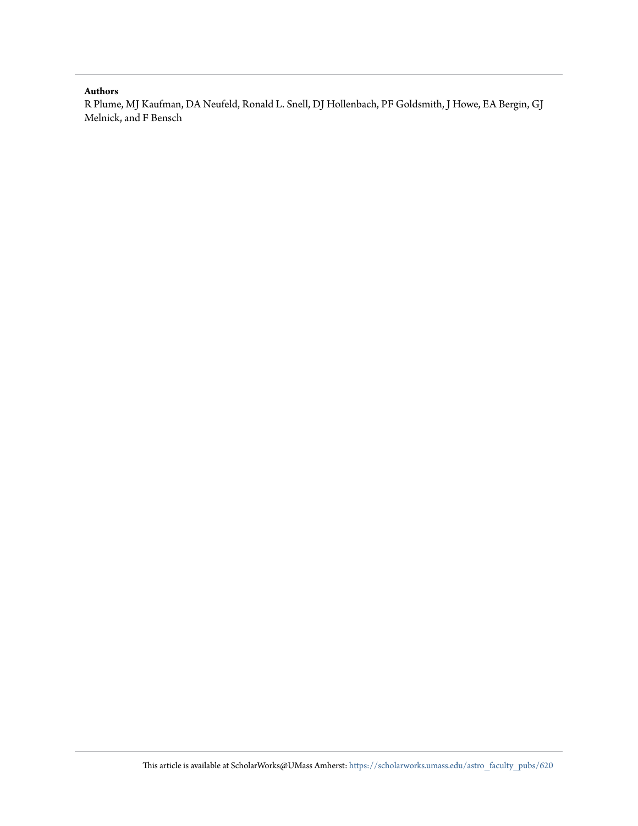#### **Authors**

R Plume, MJ Kaufman, DA Neufeld, Ronald L. Snell, DJ Hollenbach, PF Goldsmith, J Howe, EA Bergin, GJ Melnick, and F Bensch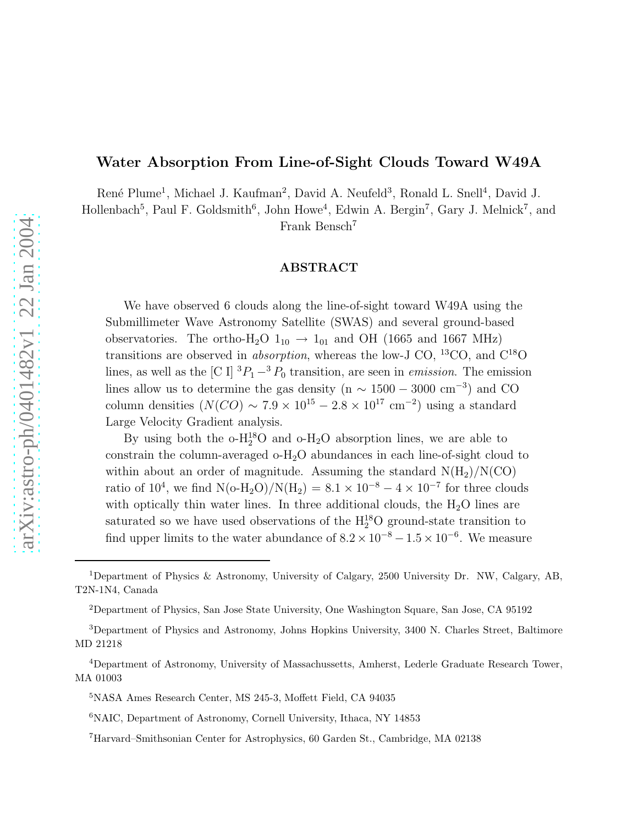## Water Absorption From Line-of-Sight Clouds Toward W49A

René Plume<sup>1</sup>, Michael J. Kaufman<sup>2</sup>, David A. Neufeld<sup>3</sup>, Ronald L. Snell<sup>4</sup>, David J.

Hollenbach<sup>5</sup>, Paul F. Goldsmith<sup>6</sup>, John Howe<sup>4</sup>, Edwin A. Bergin<sup>7</sup>, Gary J. Melnick<sup>7</sup>, and Frank Bensch<sup>7</sup>

#### ABSTRACT

We have observed 6 clouds along the line-of-sight toward W49A using the Submillimeter Wave Astronomy Satellite (SWAS) and several ground-based observatories. The ortho-H<sub>2</sub>O  $1_{10} \rightarrow 1_{01}$  and OH (1665 and 1667 MHz) transitions are observed in *absorption*, whereas the low-J CO, <sup>13</sup>CO, and  $C^{18}O$ lines, as well as the [C I]  ${}^{3}P_{1} - {}^{3}P_{0}$  transition, are seen in *emission*. The emission lines allow us to determine the gas density (n  $\sim 1500 - 3000$  cm<sup>-3</sup>) and CO column densities  $(N(CO) \sim 7.9 \times 10^{15} - 2.8 \times 10^{17} \text{ cm}^{-2})$  using a standard Large Velocity Gradient analysis.

By using both the  $o-H_2^18O$  and  $o-H_2O$  absorption lines, we are able to constrain the column-averaged o-H2O abundances in each line-of-sight cloud to within about an order of magnitude. Assuming the standard  $N(H_2)/N(CO)$ ratio of 10<sup>4</sup>, we find N(o-H<sub>2</sub>O)/N(H<sub>2</sub>) =  $8.1 \times 10^{-8} - 4 \times 10^{-7}$  for three clouds with optically thin water lines. In three additional clouds, the  $H_2O$  lines are saturated so we have used observations of the  $H_2^{18}O$  ground-state transition to find upper limits to the water abundance of  $8.2 \times 10^{-8} - 1.5 \times 10^{-6}$ . We measure

<sup>1</sup>Department of Physics & Astronomy, University of Calgary, 2500 University Dr. NW, Calgary, AB, T2N-1N4, Canada

<sup>2</sup>Department of Physics, San Jose State University, One Washington Square, San Jose, CA 95192

<sup>3</sup>Department of Physics and Astronomy, Johns Hopkins University, 3400 N. Charles Street, Baltimore MD 21218

<sup>4</sup>Department of Astronomy, University of Massachussetts, Amherst, Lederle Graduate Research Tower, MA 01003

<sup>5</sup>NASA Ames Research Center, MS 245-3, Moffett Field, CA 94035

<sup>6</sup>NAIC, Department of Astronomy, Cornell University, Ithaca, NY 14853

<sup>7</sup>Harvard–Smithsonian Center for Astrophysics, 60 Garden St., Cambridge, MA 02138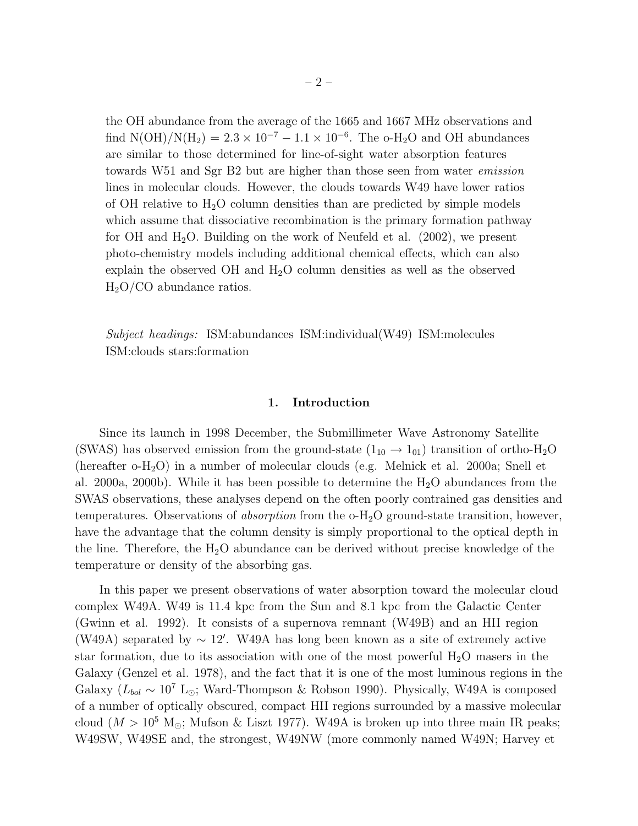the OH abundance from the average of the 1665 and 1667 MHz observations and find  $N(OH)/N(H_2) = 2.3 \times 10^{-7} - 1.1 \times 10^{-6}$ . The o-H<sub>2</sub>O and OH abundances are similar to those determined for line-of-sight water absorption features towards W51 and Sgr B2 but are higher than those seen from water emission lines in molecular clouds. However, the clouds towards W49 have lower ratios of OH relative to  $H_2O$  column densities than are predicted by simple models which assume that dissociative recombination is the primary formation pathway for OH and  $H_2O$ . Building on the work of Neufeld et al. (2002), we present photo-chemistry models including additional chemical effects, which can also explain the observed OH and  $H_2O$  column densities as well as the observed  $H<sub>2</sub>O/CO$  abundance ratios.

Subject headings: ISM:abundances ISM:individual(W49) ISM:molecules ISM:clouds stars:formation

#### 1. Introduction

Since its launch in 1998 December, the Submillimeter Wave Astronomy Satellite (SWAS) has observed emission from the ground-state  $(1_{10} \rightarrow 1_{01})$  transition of ortho-H<sub>2</sub>O (hereafter o-H2O) in a number of molecular clouds (e.g. Melnick et al. 2000a; Snell et al. 2000a, 2000b). While it has been possible to determine the  $H_2O$  abundances from the SWAS observations, these analyses depend on the often poorly contrained gas densities and temperatures. Observations of absorption from the o-H2O ground-state transition, however, have the advantage that the column density is simply proportional to the optical depth in the line. Therefore, the  $H_2O$  abundance can be derived without precise knowledge of the temperature or density of the absorbing gas.

In this paper we present observations of water absorption toward the molecular cloud complex W49A. W49 is 11.4 kpc from the Sun and 8.1 kpc from the Galactic Center (Gwinn et al. 1992). It consists of a supernova remnant (W49B) and an HII region (W49A) separated by <sup>∼</sup> <sup>12</sup>′ . W49A has long been known as a site of extremely active star formation, due to its association with one of the most powerful  $H_2O$  masers in the Galaxy (Genzel et al. 1978), and the fact that it is one of the most luminous regions in the Galaxy ( $L_{bol} \sim 10^7$  L<sub>⊙</sub>; Ward-Thompson & Robson 1990). Physically, W49A is composed of a number of optically obscured, compact HII regions surrounded by a massive molecular cloud ( $M > 10^5$  M<sub>☉</sub>; Mufson & Liszt 1977). W49A is broken up into three main IR peaks; W49SW, W49SE and, the strongest, W49NW (more commonly named W49N; Harvey et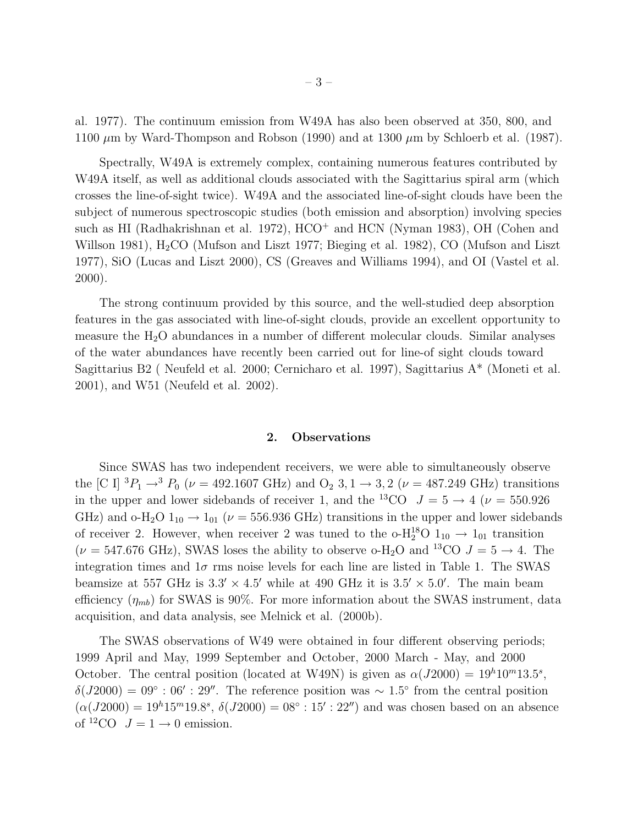al. 1977). The continuum emission from W49A has also been observed at 350, 800, and 1100  $\mu$ m by Ward-Thompson and Robson (1990) and at 1300  $\mu$ m by Schloerb et al. (1987).

Spectrally, W49A is extremely complex, containing numerous features contributed by W49A itself, as well as additional clouds associated with the Sagittarius spiral arm (which crosses the line-of-sight twice). W49A and the associated line-of-sight clouds have been the subject of numerous spectroscopic studies (both emission and absorption) involving species such as HI (Radhakrishnan et al. 1972), HCO<sup>+</sup> and HCN (Nyman 1983), OH (Cohen and Willson 1981),  $H_2CO$  (Mufson and Liszt 1977; Bieging et al. 1982), CO (Mufson and Liszt 1977), SiO (Lucas and Liszt 2000), CS (Greaves and Williams 1994), and OI (Vastel et al. 2000).

The strong continuum provided by this source, and the well-studied deep absorption features in the gas associated with line-of-sight clouds, provide an excellent opportunity to measure the  $H_2O$  abundances in a number of different molecular clouds. Similar analyses of the water abundances have recently been carried out for line-of sight clouds toward Sagittarius B2 ( Neufeld et al. 2000; Cernicharo et al. 1997), Sagittarius A\* (Moneti et al. 2001), and W51 (Neufeld et al. 2002).

#### 2. Observations

Since SWAS has two independent receivers, we were able to simultaneously observe the [C I]  ${}^{3}P_{1} \rightarrow {}^{3}P_{0}$  ( $\nu = 492.1607 \text{ GHz}$ ) and  $O_{2}$  3, 1  $\rightarrow$  3, 2 ( $\nu = 487.249 \text{ GHz}$ ) transitions in the upper and lower sidebands of receiver 1, and the <sup>13</sup>CO  $J = 5 \rightarrow 4$  ( $\nu = 550.926$ ) GHz) and o-H<sub>2</sub>O  $1_{10} \rightarrow 1_{01}$  ( $\nu = 556.936$  GHz) transitions in the upper and lower sidebands of receiver 2. However, when receiver 2 was tuned to the  $\text{o}-\text{H}_{2}^{18}\text{O}$   $1_{10} \rightarrow 1_{01}$  transition  $(\nu = 547.676 \text{ GHz})$ , SWAS loses the ability to observe o-H<sub>2</sub>O and <sup>13</sup>CO  $J = 5 \rightarrow 4$ . The integration times and  $1\sigma$  rms noise levels for each line are listed in Table 1. The SWAS beamsize at 557 GHz is  $3.3' \times 4.5'$  while at 490 GHz it is  $3.5' \times 5.0'$ . The main beam efficiency  $(\eta_{mb})$  for SWAS is 90%. For more information about the SWAS instrument, data acquisition, and data analysis, see Melnick et al. (2000b).

The SWAS observations of W49 were obtained in four different observing periods; 1999 April and May, 1999 September and October, 2000 March - May, and 2000 October. The central position (located at W49N) is given as  $\alpha(J2000) = 19h10^m13.5^s$ ,  $\delta(J2000) = 09^\circ : 06' : 29''.$  The reference position was ~ 1.5° from the central position  $(\alpha(J2000) = 19^{h}15^{m}19.8^{s}, \delta(J2000) = 08^{\circ} : 15' : 22'')$  and was chosen based on an absence of <sup>12</sup>CO  $J = 1 \rightarrow 0$  emission.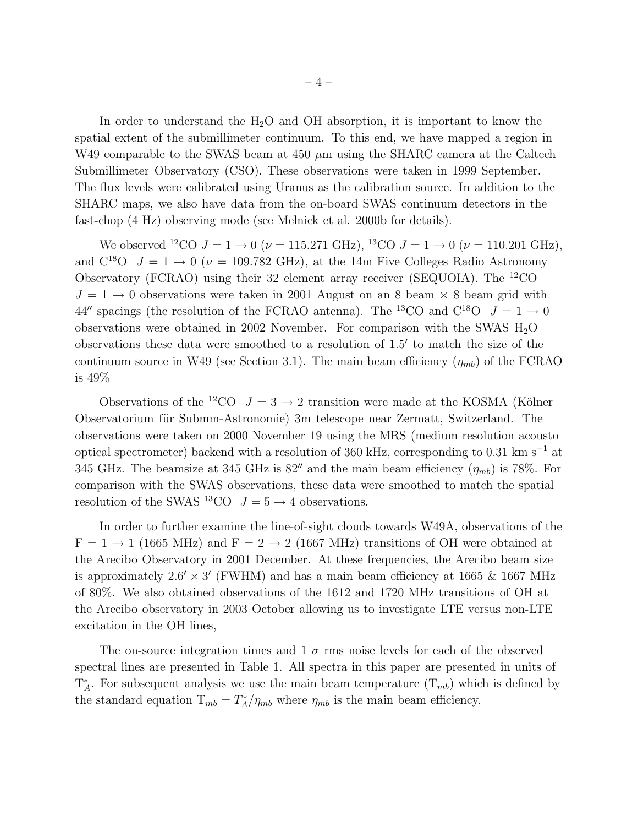In order to understand the  $H_2O$  and OH absorption, it is important to know the spatial extent of the submillimeter continuum. To this end, we have mapped a region in W49 comparable to the SWAS beam at 450  $\mu$ m using the SHARC camera at the Caltech Submillimeter Observatory (CSO). These observations were taken in 1999 September. The flux levels were calibrated using Uranus as the calibration source. In addition to the SHARC maps, we also have data from the on-board SWAS continuum detectors in the fast-chop (4 Hz) observing mode (see Melnick et al. 2000b for details).

We observed <sup>12</sup>CO  $J = 1 \rightarrow 0$  ( $\nu = 115.271$  GHz), <sup>13</sup>CO  $J = 1 \rightarrow 0$  ( $\nu = 110.201$  GHz), and  $C^{18}O$   $J = 1 \rightarrow 0$  ( $\nu = 109.782$  GHz), at the 14m Five Colleges Radio Astronomy Observatory (FCRAO) using their 32 element array receiver (SEQUOIA). The <sup>12</sup>CO  $J = 1 \rightarrow 0$  observations were taken in 2001 August on an 8 beam  $\times$  8 beam grid with 44'' spacings (the resolution of the FCRAO antenna). The <sup>13</sup>CO and C<sup>18</sup>O  $J = 1 \rightarrow 0$ observations were obtained in 2002 November. For comparison with the SWAS  $H_2O$ observations these data were smoothed to a resolution of 1.5′ to match the size of the continuum source in W49 (see Section 3.1). The main beam efficiency  $(\eta_{mb})$  of the FCRAO is 49%

Observations of the <sup>12</sup>CO  $J = 3 \rightarrow 2$  transition were made at the KOSMA (Kölner Observatorium für Submm-Astronomie) 3m telescope near Zermatt, Switzerland. The observations were taken on 2000 November 19 using the MRS (medium resolution acousto optical spectrometer) backend with a resolution of 360 kHz, corresponding to 0.31 km  $\rm s^{-1}$  at 345 GHz. The beamsize at 345 GHz is  $82''$  and the main beam efficiency  $(\eta_{mb})$  is 78%. For comparison with the SWAS observations, these data were smoothed to match the spatial resolution of the SWAS <sup>13</sup>CO  $J = 5 \rightarrow 4$  observations.

In order to further examine the line-of-sight clouds towards W49A, observations of the  $F = 1 \rightarrow 1$  (1665 MHz) and  $F = 2 \rightarrow 2$  (1667 MHz) transitions of OH were obtained at the Arecibo Observatory in 2001 December. At these frequencies, the Arecibo beam size is approximately  $2.6' \times 3'$  (FWHM) and has a main beam efficiency at 1665 & 1667 MHz of 80%. We also obtained observations of the 1612 and 1720 MHz transitions of OH at the Arecibo observatory in 2003 October allowing us to investigate LTE versus non-LTE excitation in the OH lines,

The on-source integration times and  $1\sigma$  rms noise levels for each of the observed spectral lines are presented in Table 1. All spectra in this paper are presented in units of  $T_A^*$ . For subsequent analysis we use the main beam temperature  $(T_{mb})$  which is defined by the standard equation  $T_{mb} = T_A^* / \eta_{mb}$  where  $\eta_{mb}$  is the main beam efficiency.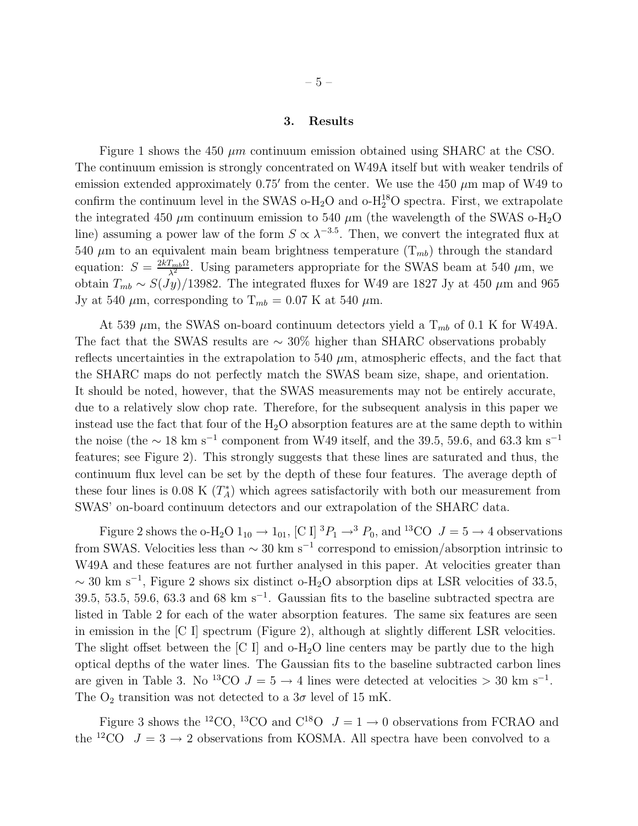#### 3. Results

Figure 1 shows the 450  $\mu$ m continuum emission obtained using SHARC at the CSO. The continuum emission is strongly concentrated on W49A itself but with weaker tendrils of emission extended approximately  $0.75'$  from the center. We use the 450  $\mu$ m map of W49 to confirm the continuum level in the SWAS  $o-H_2O$  and  $o-H_2^1SO$  spectra. First, we extrapolate the integrated 450  $\mu$ m continuum emission to 540  $\mu$ m (the wavelength of the SWAS o-H<sub>2</sub>O line) assuming a power law of the form  $S \propto \lambda^{-3.5}$ . Then, we convert the integrated flux at 540  $\mu$ m to an equivalent main beam brightness temperature  $(T_{mb})$  through the standard equation:  $S = \frac{2kT_{mb}\Omega}{\lambda^2}$ . Using parameters appropriate for the SWAS beam at 540  $\mu$ m, we obtain  $T_{mb} \sim S(Jy)/13982$ . The integrated fluxes for W49 are 1827 Jy at 450  $\mu$ m and 965 Jy at 540  $\mu$ m, corresponding to T<sub>mb</sub> = 0.07 K at 540  $\mu$ m.

At 539  $\mu$ m, the SWAS on-board continuum detectors yield a  $T_{mb}$  of 0.1 K for W49A. The fact that the SWAS results are  $\sim 30\%$  higher than SHARC observations probably reflects uncertainties in the extrapolation to  $540 \mu m$ , atmospheric effects, and the fact that the SHARC maps do not perfectly match the SWAS beam size, shape, and orientation. It should be noted, however, that the SWAS measurements may not be entirely accurate, due to a relatively slow chop rate. Therefore, for the subsequent analysis in this paper we instead use the fact that four of the  $H_2O$  absorption features are at the same depth to within the noise (the  $\sim 18$  km s<sup>-1</sup> component from W49 itself, and the 39.5, 59.6, and 63.3 km s<sup>-1</sup> features; see Figure 2). This strongly suggests that these lines are saturated and thus, the continuum flux level can be set by the depth of these four features. The average depth of these four lines is 0.08 K  $(T_A^*)$  which agrees satisfactorily with both our measurement from SWAS' on-board continuum detectors and our extrapolation of the SHARC data.

Figure 2 shows the o-H<sub>2</sub>O  $1_{10} \rightarrow 1_{01}$ , [C I]  ${}^{3}P_{1} \rightarrow {}^{3}P_{0}$ , and  ${}^{13}CO$   $J = 5 \rightarrow 4$  observations from SWAS. Velocities less than  $\sim 30 \text{ km s}^{-1}$  correspond to emission/absorption intrinsic to W49A and these features are not further analysed in this paper. At velocities greater than  $\sim$  30 km s<sup>-1</sup>, Figure 2 shows six distinct o-H<sub>2</sub>O absorption dips at LSR velocities of 33.5, 39.5, 53.5, 59.6, 63.3 and 68 km s<sup>-1</sup>. Gaussian fits to the baseline subtracted spectra are listed in Table 2 for each of the water absorption features. The same six features are seen in emission in the [C I] spectrum (Figure 2), although at slightly different LSR velocities. The slight offset between the  $[C I]$  and  $o-H_2O$  line centers may be partly due to the high optical depths of the water lines. The Gaussian fits to the baseline subtracted carbon lines are given in Table 3. No <sup>13</sup>CO  $J = 5 \rightarrow 4$  lines were detected at velocities > 30 km s<sup>-1</sup>. The  $O_2$  transition was not detected to a  $3\sigma$  level of 15 mK.

Figure 3 shows the <sup>12</sup>CO, <sup>13</sup>CO and C<sup>18</sup>O  $J = 1 \rightarrow 0$  observations from FCRAO and the <sup>12</sup>CO  $J = 3 \rightarrow 2$  observations from KOSMA. All spectra have been convolved to a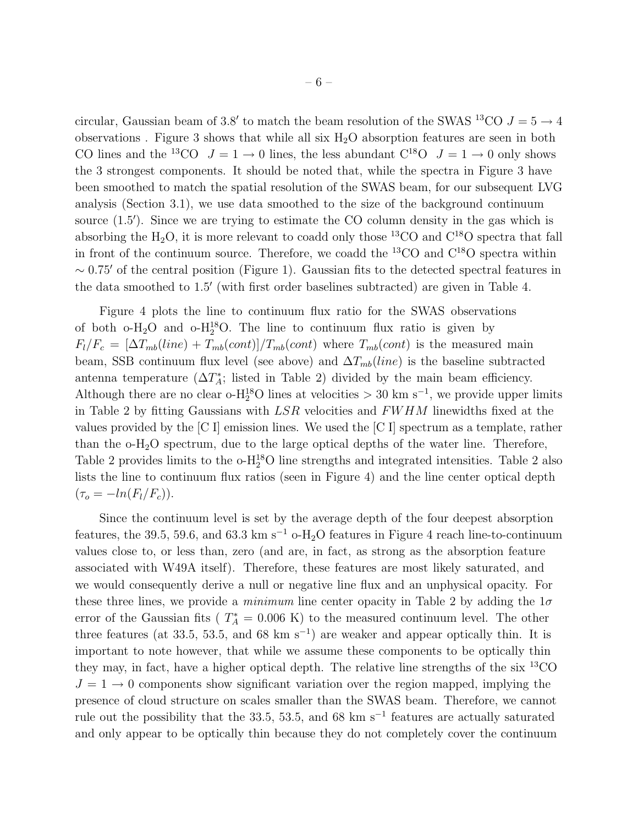circular, Gaussian beam of 3.8' to match the beam resolution of the SWAS <sup>13</sup>CO  $J = 5 \rightarrow 4$ observations . Figure 3 shows that while all six  $H_2O$  absorption features are seen in both CO lines and the <sup>13</sup>CO  $J = 1 \rightarrow 0$  lines, the less abundant C<sup>18</sup>O  $J = 1 \rightarrow 0$  only shows the 3 strongest components. It should be noted that, while the spectra in Figure 3 have been smoothed to match the spatial resolution of the SWAS beam, for our subsequent LVG analysis (Section 3.1), we use data smoothed to the size of the background continuum source (1.5′ ). Since we are trying to estimate the CO column density in the gas which is absorbing the H<sub>2</sub>O, it is more relevant to coadd only those <sup>13</sup>CO and  $C^{18}O$  spectra that fall in front of the continuum source. Therefore, we coadd the  ${}^{13}CO$  and  $C^{18}O$  spectra within  $\sim$  0.75′ of the central position (Figure 1). Gaussian fits to the detected spectral features in the data smoothed to 1.5′ (with first order baselines subtracted) are given in Table 4.

Figure 4 plots the line to continuum flux ratio for the SWAS observations of both  $o-H_2O$  and  $o-H_2^1SO$ . The line to continuum flux ratio is given by  $F_l/F_c = [\Delta T_{mb}(line) + T_{mb}(cont)]/T_{mb}(cont)$  where  $T_{mb}(cont)$  is the measured main beam, SSB continuum flux level (see above) and  $\Delta T_{mb}(line)$  is the baseline subtracted antenna temperature ( $\Delta T_A^*$ ; listed in Table 2) divided by the main beam efficiency. Although there are no clear o- $H_2^{18}O$  lines at velocities > 30 km s<sup>-1</sup>, we provide upper limits in Table 2 by fitting Gaussians with  $LSR$  velocities and  $FWHM$  linewidths fixed at the values provided by the  $|C|$  emission lines. We used the  $|C|$  spectrum as a template, rather than the  $o-H_2O$  spectrum, due to the large optical depths of the water line. Therefore, Table 2 provides limits to the  $o-H_2^{18}O$  line strengths and integrated intensities. Table 2 also lists the line to continuum flux ratios (seen in Figure 4) and the line center optical depth  $(\tau_o = -ln(F_l/F_c)).$ 

Since the continuum level is set by the average depth of the four deepest absorption features, the 39.5, 59.6, and 63.3 km s<sup>-1</sup> o-H<sub>2</sub>O features in Figure 4 reach line-to-continuum values close to, or less than, zero (and are, in fact, as strong as the absorption feature associated with W49A itself). Therefore, these features are most likely saturated, and we would consequently derive a null or negative line flux and an unphysical opacity. For these three lines, we provide a *minimum* line center opacity in Table 2 by adding the  $1\sigma$ error of the Gaussian fits ( $T_A^* = 0.006$  K) to the measured continuum level. The other three features (at 33.5, 53.5, and 68 km s<sup>-1</sup>) are weaker and appear optically thin. It is important to note however, that while we assume these components to be optically thin they may, in fact, have a higher optical depth. The relative line strengths of the six <sup>13</sup>CO  $J = 1 \rightarrow 0$  components show significant variation over the region mapped, implying the presence of cloud structure on scales smaller than the SWAS beam. Therefore, we cannot rule out the possibility that the 33.5, 53.5, and 68 km s<sup>-1</sup> features are actually saturated and only appear to be optically thin because they do not completely cover the continuum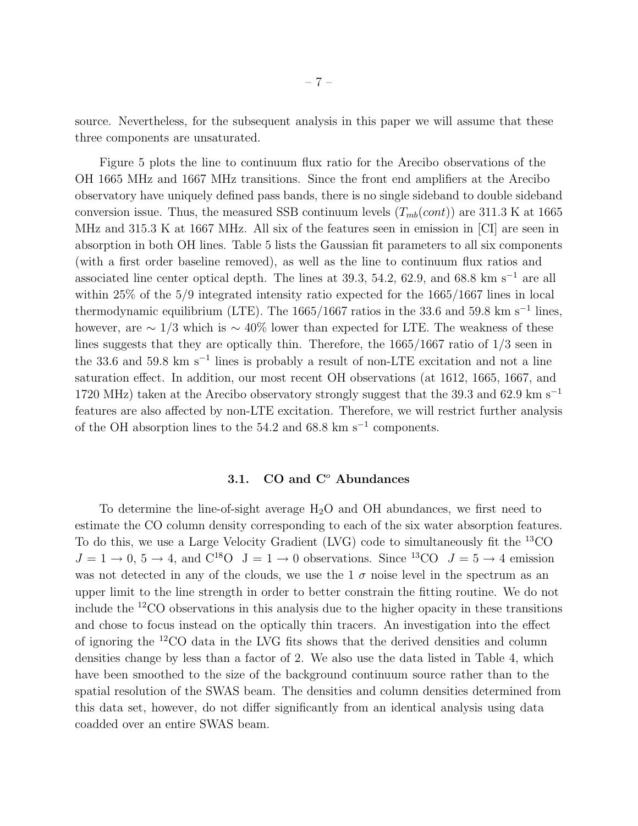source. Nevertheless, for the subsequent analysis in this paper we will assume that these three components are unsaturated.

Figure 5 plots the line to continuum flux ratio for the Arecibo observations of the OH 1665 MHz and 1667 MHz transitions. Since the front end amplifiers at the Arecibo observatory have uniquely defined pass bands, there is no single sideband to double sideband conversion issue. Thus, the measured SSB continuum levels  $(T_{mb}(cont))$  are 311.3 K at 1665 MHz and 315.3 K at 1667 MHz. All six of the features seen in emission in [CI] are seen in absorption in both OH lines. Table 5 lists the Gaussian fit parameters to all six components (with a first order baseline removed), as well as the line to continuum flux ratios and associated line center optical depth. The lines at 39.3, 54.2, 62.9, and 68.8 km s<sup> $-1$ </sup> are all within 25% of the 5/9 integrated intensity ratio expected for the 1665/1667 lines in local thermodynamic equilibrium (LTE). The 1665/1667 ratios in the 33.6 and 59.8 km s<sup>-1</sup> lines, however, are  $\sim 1/3$  which is  $\sim 40\%$  lower than expected for LTE. The weakness of these lines suggests that they are optically thin. Therefore, the 1665/1667 ratio of 1/3 seen in the 33.6 and 59.8 km s<sup>−</sup><sup>1</sup> lines is probably a result of non-LTE excitation and not a line saturation effect. In addition, our most recent OH observations (at 1612, 1665, 1667, and 1720 MHz) taken at the Arecibo observatory strongly suggest that the 39.3 and 62.9 km s<sup>−</sup><sup>1</sup> features are also affected by non-LTE excitation. Therefore, we will restrict further analysis of the OH absorption lines to the 54.2 and 68.8 km s<sup>−</sup><sup>1</sup> components.

## 3.1.  $CO$  and  $C<sup>o</sup>$  Abundances

To determine the line-of-sight average  $H_2O$  and OH abundances, we first need to estimate the CO column density corresponding to each of the six water absorption features. To do this, we use a Large Velocity Gradient (LVG) code to simultaneously fit the <sup>13</sup>CO  $J = 1 \rightarrow 0, 5 \rightarrow 4$ , and  $C^{18}O \quad J = 1 \rightarrow 0$  observations. Since  $^{13}CO \quad J = 5 \rightarrow 4$  emission was not detected in any of the clouds, we use the  $1\sigma$  noise level in the spectrum as an upper limit to the line strength in order to better constrain the fitting routine. We do not include the  $^{12}$ CO observations in this analysis due to the higher opacity in these transitions and chose to focus instead on the optically thin tracers. An investigation into the effect of ignoring the <sup>12</sup>CO data in the LVG fits shows that the derived densities and column densities change by less than a factor of 2. We also use the data listed in Table 4, which have been smoothed to the size of the background continuum source rather than to the spatial resolution of the SWAS beam. The densities and column densities determined from this data set, however, do not differ significantly from an identical analysis using data coadded over an entire SWAS beam.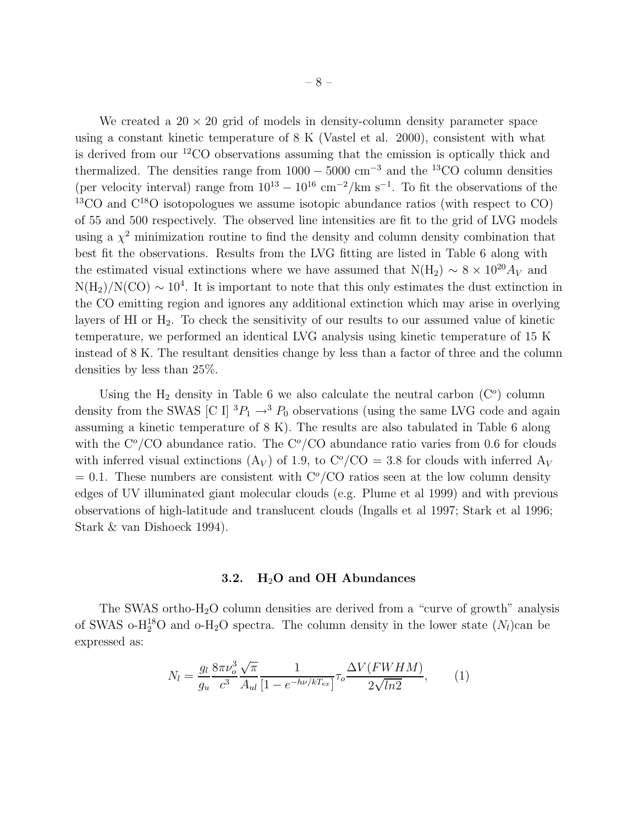We created a  $20 \times 20$  grid of models in density-column density parameter space using a constant kinetic temperature of 8 K (Vastel et al. 2000), consistent with what is derived from our <sup>12</sup>CO observations assuming that the emission is optically thick and thermalized. The densities range from  $1000 - 5000$  cm<sup>-3</sup> and the <sup>13</sup>CO column densities (per velocity interval) range from  $10^{13} - 10^{16}$  cm<sup>-2</sup>/km s<sup>-1</sup>. To fit the observations of the  $13^{\circ}$ CO and  $C^{18}$ O isotopologues we assume isotopic abundance ratios (with respect to CO) of 55 and 500 respectively. The observed line intensities are fit to the grid of LVG models using a  $\chi^2$  minimization routine to find the density and column density combination that best fit the observations. Results from the LVG fitting are listed in Table 6 along with the estimated visual extinctions where we have assumed that  $N(H_2) \sim 8 \times 10^{20} A_V$  and  $N(H_2)/N(CO) \sim 10^4$ . It is important to note that this only estimates the dust extinction in the CO emitting region and ignores any additional extinction which may arise in overlying layers of HI or  $H_2$ . To check the sensitivity of our results to our assumed value of kinetic temperature, we performed an identical LVG analysis using kinetic temperature of 15 K instead of 8 K. The resultant densities change by less than a factor of three and the column densities by less than 25%.

Using the  $H_2$  density in Table 6 we also calculate the neutral carbon  $(C<sup>o</sup>)$  column density from the SWAS [C I]  ${}^{3}P_1 \rightarrow {}^{3}P_0$  observations (using the same LVG code and again assuming a kinetic temperature of 8 K). The results are also tabulated in Table 6 along with the  $C^{\circ}/CO$  abundance ratio. The  $C^{\circ}/CO$  abundance ratio varies from 0.6 for clouds with inferred visual extinctions (A<sub>V</sub>) of 1.9, to  $C^{\circ}/CO = 3.8$  for clouds with inferred A<sub>V</sub>  $= 0.1$ . These numbers are consistent with  $C^{\circ}/C$ O ratios seen at the low column density edges of UV illuminated giant molecular clouds (e.g. Plume et al 1999) and with previous observations of high-latitude and translucent clouds (Ingalls et al 1997; Stark et al 1996; Stark & van Dishoeck 1994).

#### 3.2.  $H_2O$  and OH Abundances

The SWAS ortho- $H_2O$  column densities are derived from a "curve of growth" analysis of SWAS o-H<sub>2</sub><sup>8</sup>O and o-H<sub>2</sub>O spectra. The column density in the lower state  $(N_l)$ can be expressed as:

$$
N_l = \frac{g_l}{g_u} \frac{8\pi\nu_o^3}{c^3} \frac{\sqrt{\pi}}{A_{ul}} \frac{1}{[1 - e^{-h\nu/kT_{ex}}]} \tau_o \frac{\Delta V(FWHM)}{2\sqrt{ln2}},
$$
(1)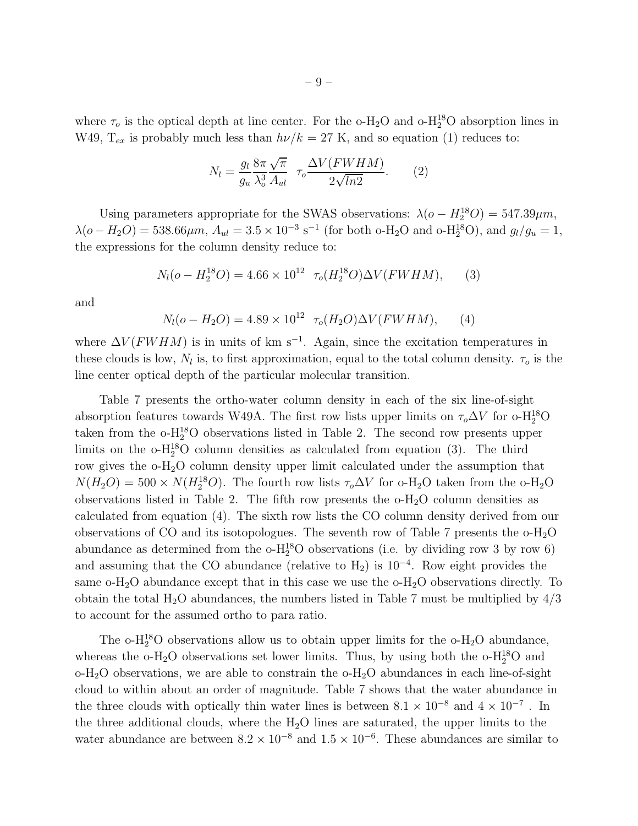where  $\tau_o$  is the optical depth at line center. For the o-H<sub>2</sub>O and o-H<sub>2</sub><sup>8</sup>O absorption lines in W49,  $T_{ex}$  is probably much less than  $h\nu/k = 27$  K, and so equation (1) reduces to:

$$
N_l = \frac{g_l}{g_u} \frac{8\pi \sqrt{\pi}}{\lambda_o^3} \tau_o \frac{\Delta V(FWHM)}{2\sqrt{ln2}}.
$$
 (2)

Using parameters appropriate for the SWAS observations:  $\lambda(o - H_2^{18}O) = 547.39 \mu m$ ,  $\lambda(o - H_2O) = 538.66 \mu m$ ,  $A_{ul} = 3.5 \times 10^{-3} \text{ s}^{-1}$  (for both o-H<sub>2</sub>O and o-H<sub>2</sub><sup>3</sup>O), and  $g_l/g_u = 1$ , the expressions for the column density reduce to:

$$
N_l(o - H_2^{18}O) = 4.66 \times 10^{12} \ \tau_o(H_2^{18}O) \Delta V(FWHM), \tag{3}
$$

and

$$
N_l(o - H_2O) = 4.89 \times 10^{12} \ \tau_o(H_2O)\Delta V(FWHM), \tag{4}
$$

where  $\Delta V$ (*FWHM*) is in units of km s<sup>-1</sup>. Again, since the excitation temperatures in these clouds is low,  $N_l$  is, to first approximation, equal to the total column density.  $\tau_o$  is the line center optical depth of the particular molecular transition.

Table 7 presents the ortho-water column density in each of the six line-of-sight absorption features towards W49A. The first row lists upper limits on  $\tau_o \Delta V$  for o-H<sub>2</sub><sup>8</sup>O taken from the  $o-H_2^{18}O$  observations listed in Table 2. The second row presents upper limits on the  $o-H_2^{18}O$  column densities as calculated from equation (3). The third row gives the o-H2O column density upper limit calculated under the assumption that  $N(H_2O) = 500 \times N(H_2^{18}O)$ . The fourth row lists  $\tau_o \Delta V$  for o-H<sub>2</sub>O taken from the o-H<sub>2</sub>O observations listed in Table 2. The fifth row presents the  $o-H_2O$  column densities as calculated from equation (4). The sixth row lists the CO column density derived from our observations of CO and its isotopologues. The seventh row of Table 7 presents the  $o-H_2O$ abundance as determined from the  $o-H_2^{18}O$  observations (i.e. by dividing row 3 by row 6) and assuming that the CO abundance (relative to  $H_2$ ) is 10<sup>-4</sup>. Row eight provides the same o-H<sub>2</sub>O abundance except that in this case we use the  $\text{o}-\text{H}_2\text{O}$  observations directly. To obtain the total  $H_2O$  abundances, the numbers listed in Table 7 must be multiplied by  $4/3$ to account for the assumed ortho to para ratio.

The o-H<sub>2</sub><sup>8</sup>O observations allow us to obtain upper limits for the o-H<sub>2</sub>O abundance, whereas the  $o-H_2O$  observations set lower limits. Thus, by using both the  $o-H_2^{18}O$  and  $\rm o-H_2O$  observations, we are able to constrain the  $\rm o-H_2O$  abundances in each line-of-sight cloud to within about an order of magnitude. Table 7 shows that the water abundance in the three clouds with optically thin water lines is between  $8.1 \times 10^{-8}$  and  $4 \times 10^{-7}$ . In the three additional clouds, where the  $H_2O$  lines are saturated, the upper limits to the water abundance are between  $8.2 \times 10^{-8}$  and  $1.5 \times 10^{-6}$ . These abundances are similar to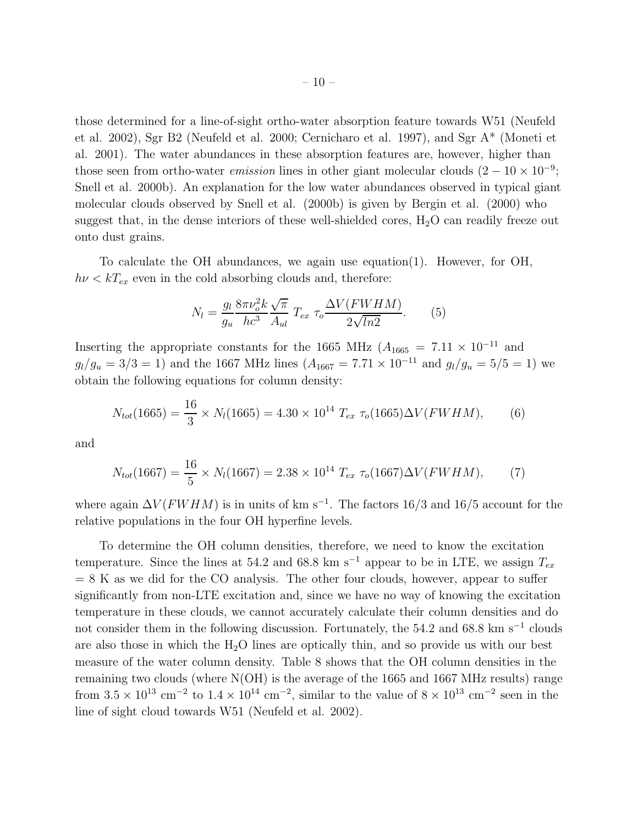those determined for a line-of-sight ortho-water absorption feature towards W51 (Neufeld et al. 2002), Sgr B2 (Neufeld et al. 2000; Cernicharo et al. 1997), and Sgr A\* (Moneti et al. 2001). The water abundances in these absorption features are, however, higher than those seen from ortho-water *emission* lines in other giant molecular clouds  $(2 - 10 \times 10^{-9})$ ; Snell et al. 2000b). An explanation for the low water abundances observed in typical giant molecular clouds observed by Snell et al. (2000b) is given by Bergin et al. (2000) who suggest that, in the dense interiors of these well-shielded cores,  $H_2O$  can readily freeze out onto dust grains.

To calculate the OH abundances, we again use equation(1). However, for OH,  $h\nu < kT_{ex}$  even in the cold absorbing clouds and, therefore:

$$
N_l = \frac{g_l}{g_u} \frac{8\pi \nu_o^2 k}{hc^3} \frac{\sqrt{\pi}}{A_{ul}} T_{ex} \tau_o \frac{\Delta V (FWHM)}{2\sqrt{ln2}}.
$$
 (5)

Inserting the appropriate constants for the 1665 MHz ( $A_{1665} = 7.11 \times 10^{-11}$  and  $g_l/g_u = 3/3 = 1$ ) and the 1667 MHz lines  $(A_{1667} = 7.71 \times 10^{-11}$  and  $g_l/g_u = 5/5 = 1$ ) we obtain the following equations for column density:

$$
N_{tot}(1665) = \frac{16}{3} \times N_l(1665) = 4.30 \times 10^{14} T_{ex} \tau_o(1665) \Delta V(FWHM), \tag{6}
$$

and

$$
N_{tot}(1667) = \frac{16}{5} \times N_l(1667) = 2.38 \times 10^{14} T_{ex} \tau_o(1667) \Delta V(FWHM), \tag{7}
$$

where again  $\Delta V$ ( $FWHM$ ) is in units of km s<sup>-1</sup>. The factors 16/3 and 16/5 account for the relative populations in the four OH hyperfine levels.

To determine the OH column densities, therefore, we need to know the excitation temperature. Since the lines at 54.2 and 68.8 km s<sup>-1</sup> appear to be in LTE, we assign  $T_{ex}$  $= 8$  K as we did for the CO analysis. The other four clouds, however, appear to suffer significantly from non-LTE excitation and, since we have no way of knowing the excitation temperature in these clouds, we cannot accurately calculate their column densities and do not consider them in the following discussion. Fortunately, the 54.2 and 68.8 km s<sup>-1</sup> clouds are also those in which the  $H_2O$  lines are optically thin, and so provide us with our best measure of the water column density. Table 8 shows that the OH column densities in the remaining two clouds (where N(OH) is the average of the 1665 and 1667 MHz results) range from  $3.5 \times 10^{13}$  cm<sup>-2</sup> to  $1.4 \times 10^{14}$  cm<sup>-2</sup>, similar to the value of  $8 \times 10^{13}$  cm<sup>-2</sup> seen in the line of sight cloud towards W51 (Neufeld et al. 2002).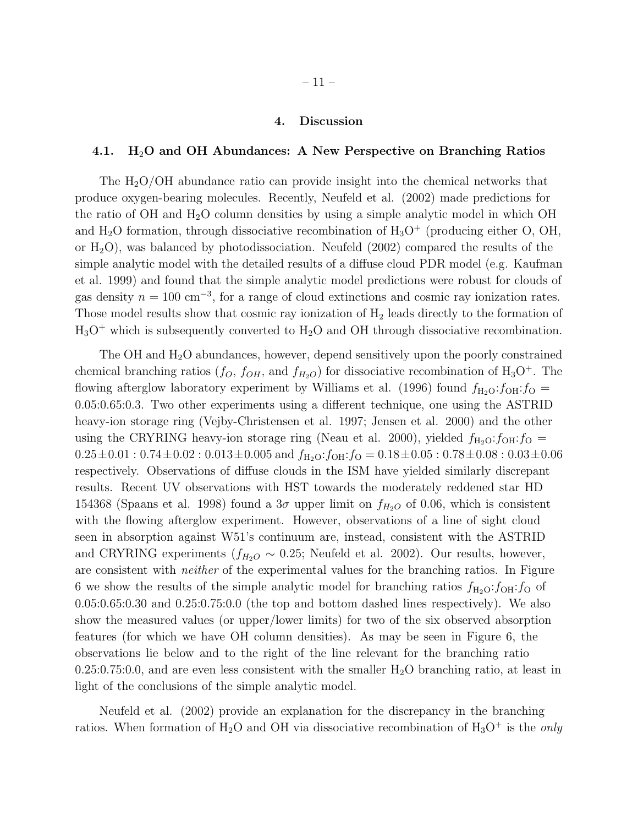#### 4. Discussion

#### 4.1.  $H_2O$  and OH Abundances: A New Perspective on Branching Ratios

The  $H_2O/OH$  abundance ratio can provide insight into the chemical networks that produce oxygen-bearing molecules. Recently, Neufeld et al. (2002) made predictions for the ratio of OH and  $H_2O$  column densities by using a simple analytic model in which OH and  $H_2O$  formation, through dissociative recombination of  $H_3O^+$  (producing either O, OH, or  $H_2O$ , was balanced by photodissociation. Neufeld (2002) compared the results of the simple analytic model with the detailed results of a diffuse cloud PDR model (e.g. Kaufman et al. 1999) and found that the simple analytic model predictions were robust for clouds of gas density  $n = 100 \text{ cm}^{-3}$ , for a range of cloud extinctions and cosmic ray ionization rates. Those model results show that cosmic ray ionization of  $H_2$  leads directly to the formation of  $H_3O^+$  which is subsequently converted to  $H_2O$  and OH through dissociative recombination.

The OH and  $H_2O$  abundances, however, depend sensitively upon the poorly constrained chemical branching ratios  $(f_O, f_{OH}, \text{ and } f_{H_2O})$  for dissociative recombination of  $H_3O^+$ . The flowing afterglow laboratory experiment by Williams et al. (1996) found  $f_{\text{H}_2\text{O}}:f_{\text{OH}}:f_{\text{O}} =$ 0.05:0.65:0.3. Two other experiments using a different technique, one using the ASTRID heavy-ion storage ring (Vejby-Christensen et al. 1997; Jensen et al. 2000) and the other using the CRYRING heavy-ion storage ring (Neau et al. 2000), yielded  $f_{\text{H}_2\text{O}}:f_{\text{OH}}:f_{\text{O}} =$  $0.25 \pm 0.01 : 0.74 \pm 0.02 : 0.013 \pm 0.005$  and  $f_{\text{H}_2\text{O}}$ : $f_{\text{OH}}$ : $f_{\text{O}} = 0.18 \pm 0.05 : 0.78 \pm 0.08 : 0.03 \pm 0.06$ respectively. Observations of diffuse clouds in the ISM have yielded similarly discrepant results. Recent UV observations with HST towards the moderately reddened star HD 154368 (Spaans et al. 1998) found a  $3\sigma$  upper limit on  $f_{H_2O}$  of 0.06, which is consistent with the flowing afterglow experiment. However, observations of a line of sight cloud seen in absorption against W51's continuum are, instead, consistent with the ASTRID and CRYRING experiments ( $f_{H_2O} \sim 0.25$ ; Neufeld et al. 2002). Our results, however, are consistent with neither of the experimental values for the branching ratios. In Figure 6 we show the results of the simple analytic model for branching ratios  $f_{\text{H}_2\text{O}}:f_{\text{OH}}:f_{\text{O}}$  of 0.05:0.65:0.30 and 0.25:0.75:0.0 (the top and bottom dashed lines respectively). We also show the measured values (or upper/lower limits) for two of the six observed absorption features (for which we have OH column densities). As may be seen in Figure 6, the observations lie below and to the right of the line relevant for the branching ratio  $0.25:0.75:0.0$ , and are even less consistent with the smaller  $H_2O$  branching ratio, at least in light of the conclusions of the simple analytic model.

Neufeld et al. (2002) provide an explanation for the discrepancy in the branching ratios. When formation of  $H_2O$  and OH via dissociative recombination of  $H_3O^+$  is the *only*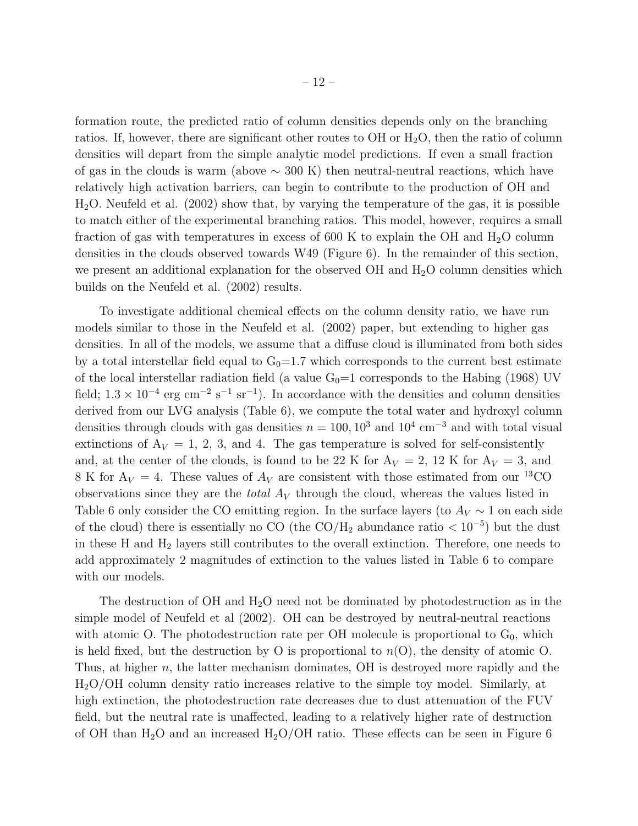formation route, the predicted ratio of column densities depends only on the branching ratios. If, however, there are significant other routes to  $OH$  or  $H<sub>2</sub>O$ , then the ratio of column densities will depart from the simple analytic model predictions. If even a small fraction of gas in the clouds is warm (above  $\sim$  300 K) then neutral-neutral reactions, which have relatively high activation barriers, can begin to contribute to the production of OH and  $H<sub>2</sub>O$ . Neufeld et al. (2002) show that, by varying the temperature of the gas, it is possible to match either of the experimental branching ratios. This model, however, requires a small fraction of gas with temperatures in excess of 600 K to explain the OH and  $H_2O$  column densities in the clouds observed towards W49 (Figure 6). In the remainder of this section, we present an additional explanation for the observed  $\rm OH$  and  $\rm H<sub>2</sub>O$  column densities which builds on the Neufeld et al. (2002) results.

To investigate additional chemical effects on the column density ratio, we have run models similar to those in the Neufeld et al. (2002) paper, but extending to higher gas densities. In all of the models, we assume that a diffuse cloud is illuminated from both sides by a total interstellar field equal to  $G_0=1.7$  which corresponds to the current best estimate of the local interstellar radiation field (a value  $G_0=1$  corresponds to the Habing (1968) UV field;  $1.3 \times 10^{-4}$  erg cm<sup>-2</sup> s<sup>-1</sup> sr<sup>-1</sup>). In accordance with the densities and column densities derived from our LVG analysis (Table 6), we compute the total water and hydroxyl column densities through clouds with gas densities  $n = 100, 10^3$  and  $10^4$  cm<sup>-3</sup> and with total visual extinctions of  $A_V = 1, 2, 3,$  and 4. The gas temperature is solved for self-consistently and, at the center of the clouds, is found to be 22 K for  $A_V = 2$ , 12 K for  $A_V = 3$ , and 8 K for  $A_V = 4$ . These values of  $A_V$  are consistent with those estimated from our <sup>13</sup>CO observations since they are the *total*  $A_V$  through the cloud, whereas the values listed in Table 6 only consider the CO emitting region. In the surface layers (to  $A_V \sim 1$  on each side of the cloud) there is essentially no CO (the  $\rm CO/H_2$  abundance ratio  $< 10^{-5}$ ) but the dust in these H and H<sup>2</sup> layers still contributes to the overall extinction. Therefore, one needs to add approximately 2 magnitudes of extinction to the values listed in Table 6 to compare with our models.

The destruction of OH and  $H_2O$  need not be dominated by photodestruction as in the simple model of Neufeld et al (2002). OH can be destroyed by neutral-neutral reactions with atomic O. The photodestruction rate per OH molecule is proportional to  $G_0$ , which is held fixed, but the destruction by O is proportional to  $n(O)$ , the density of atomic O. Thus, at higher n, the latter mechanism dominates, OH is destroyed more rapidly and the H2O/OH column density ratio increases relative to the simple toy model. Similarly, at high extinction, the photodestruction rate decreases due to dust attenuation of the FUV field, but the neutral rate is unaffected, leading to a relatively higher rate of destruction of OH than  $H_2O$  and an increased  $H_2O/OH$  ratio. These effects can be seen in Figure 6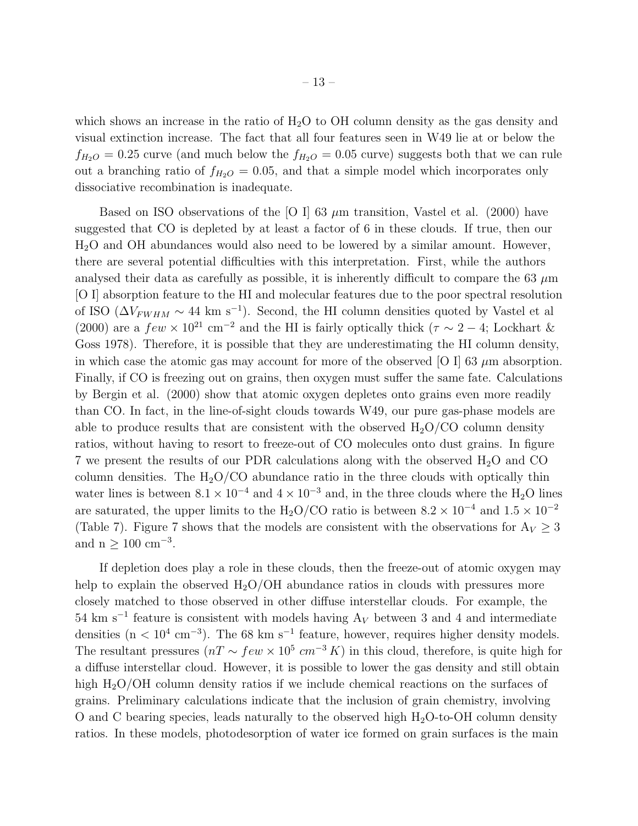which shows an increase in the ratio of  $H_2O$  to OH column density as the gas density and visual extinction increase. The fact that all four features seen in W49 lie at or below the  $f_{H_2O} = 0.25$  curve (and much below the  $f_{H_2O} = 0.05$  curve) suggests both that we can rule out a branching ratio of  $f_{H_2O} = 0.05$ , and that a simple model which incorporates only dissociative recombination is inadequate.

Based on ISO observations of the [O I] 63  $\mu$ m transition, Vastel et al. (2000) have suggested that CO is depleted by at least a factor of 6 in these clouds. If true, then our H2O and OH abundances would also need to be lowered by a similar amount. However, there are several potential difficulties with this interpretation. First, while the authors analysed their data as carefully as possible, it is inherently difficult to compare the 63  $\mu$ m [O I] absorption feature to the HI and molecular features due to the poor spectral resolution of ISO ( $\Delta V_{FWHM} \sim 44 \text{ km s}^{-1}$ ). Second, the HI column densities quoted by Vastel et al (2000) are a  $few \times 10^{21}$  cm<sup>-2</sup> and the HI is fairly optically thick ( $\tau \sim 2-4$ ; Lockhart & Goss 1978). Therefore, it is possible that they are underestimating the HI column density, in which case the atomic gas may account for more of the observed [O I] 63  $\mu$ m absorption. Finally, if CO is freezing out on grains, then oxygen must suffer the same fate. Calculations by Bergin et al. (2000) show that atomic oxygen depletes onto grains even more readily than CO. In fact, in the line-of-sight clouds towards W49, our pure gas-phase models are able to produce results that are consistent with the observed  $H_2O/CO$  column density ratios, without having to resort to freeze-out of CO molecules onto dust grains. In figure 7 we present the results of our PDR calculations along with the observed  $H_2O$  and  $CO$ column densities. The  $H_2O/CO$  abundance ratio in the three clouds with optically thin water lines is between  $8.1 \times 10^{-4}$  and  $4 \times 10^{-3}$  and, in the three clouds where the H<sub>2</sub>O lines are saturated, the upper limits to the H<sub>2</sub>O/CO ratio is between  $8.2 \times 10^{-4}$  and  $1.5 \times 10^{-2}$ (Table 7). Figure 7 shows that the models are consistent with the observations for  $A_V \geq 3$ and  $n \geq 100$  cm<sup>-3</sup>.

If depletion does play a role in these clouds, then the freeze-out of atomic oxygen may help to explain the observed  $H_2O/OH$  abundance ratios in clouds with pressures more closely matched to those observed in other diffuse interstellar clouds. For example, the  $54 \text{ km s}^{-1}$  feature is consistent with models having  $A_V$  between 3 and 4 and intermediate densities  $(n < 10^4 \text{ cm}^{-3})$ . The 68 km s<sup>-1</sup> feature, however, requires higher density models. The resultant pressures  $(nT \sim few \times 10^5 cm^{-3} K)$  in this cloud, therefore, is quite high for a diffuse interstellar cloud. However, it is possible to lower the gas density and still obtain high H<sub>2</sub>O/OH column density ratios if we include chemical reactions on the surfaces of grains. Preliminary calculations indicate that the inclusion of grain chemistry, involving O and C bearing species, leads naturally to the observed high  $H_2O$ -to-OH column density ratios. In these models, photodesorption of water ice formed on grain surfaces is the main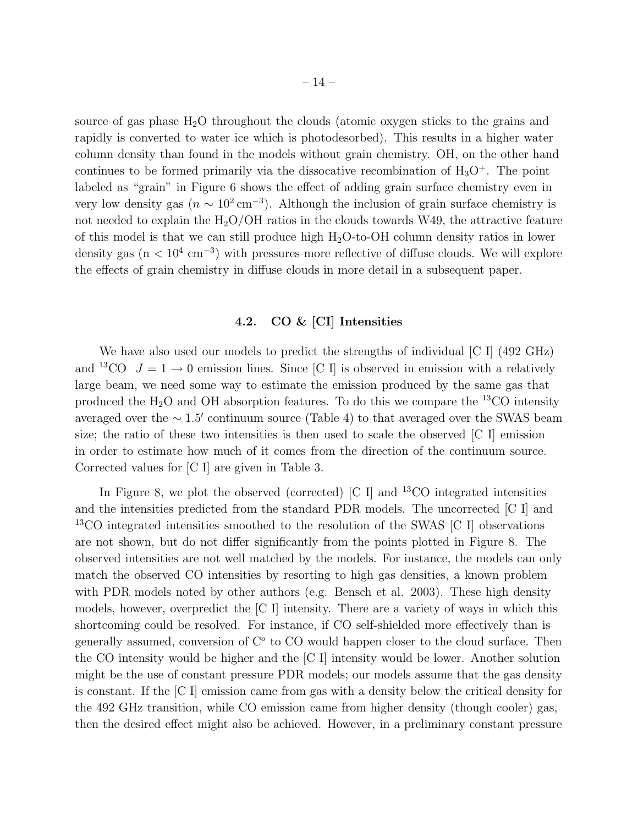source of gas phase  $H_2O$  throughout the clouds (atomic oxygen sticks to the grains and rapidly is converted to water ice which is photodesorbed). This results in a higher water column density than found in the models without grain chemistry. OH, on the other hand continues to be formed primarily via the dissocative recombination of  $H_3O^+$ . The point labeled as "grain" in Figure 6 shows the effect of adding grain surface chemistry even in very low density gas  $(n \sim 10^2 \text{ cm}^{-3})$ . Although the inclusion of grain surface chemistry is not needed to explain the  $H_2O/OH$  ratios in the clouds towards W49, the attractive feature of this model is that we can still produce high  $H_2O$ -to-OH column density ratios in lower density gas  $(n < 10<sup>4</sup> cm<sup>-3</sup>)$  with pressures more reflective of diffuse clouds. We will explore the effects of grain chemistry in diffuse clouds in more detail in a subsequent paper.

## 4.2. CO & [CI] Intensities

We have also used our models to predict the strengths of individual [C I] (492 GHz) and <sup>13</sup>CO  $J = 1 \rightarrow 0$  emission lines. Since [C I] is observed in emission with a relatively large beam, we need some way to estimate the emission produced by the same gas that produced the  $H_2O$  and OH absorption features. To do this we compare the <sup>13</sup>CO intensity averaged over the  $\sim 1.5'$  continuum source (Table 4) to that averaged over the SWAS beam size; the ratio of these two intensities is then used to scale the observed [C I] emission in order to estimate how much of it comes from the direction of the continuum source. Corrected values for [C I] are given in Table 3.

In Figure 8, we plot the observed (corrected)  $\begin{bmatrix} C & I \end{bmatrix}$  and  $^{13}CO$  integrated intensities and the intensities predicted from the standard PDR models. The uncorrected [C I] and <sup>13</sup>CO integrated intensities smoothed to the resolution of the SWAS [C I] observations are not shown, but do not differ significantly from the points plotted in Figure 8. The observed intensities are not well matched by the models. For instance, the models can only match the observed CO intensities by resorting to high gas densities, a known problem with PDR models noted by other authors (e.g. Bensch et al. 2003). These high density models, however, overpredict the [C I] intensity. There are a variety of ways in which this shortcoming could be resolved. For instance, if CO self-shielded more effectively than is generally assumed, conversion of  $C<sup>o</sup>$  to  $CO$  would happen closer to the cloud surface. Then the CO intensity would be higher and the [C I] intensity would be lower. Another solution might be the use of constant pressure PDR models; our models assume that the gas density is constant. If the [C I] emission came from gas with a density below the critical density for the 492 GHz transition, while CO emission came from higher density (though cooler) gas, then the desired effect might also be achieved. However, in a preliminary constant pressure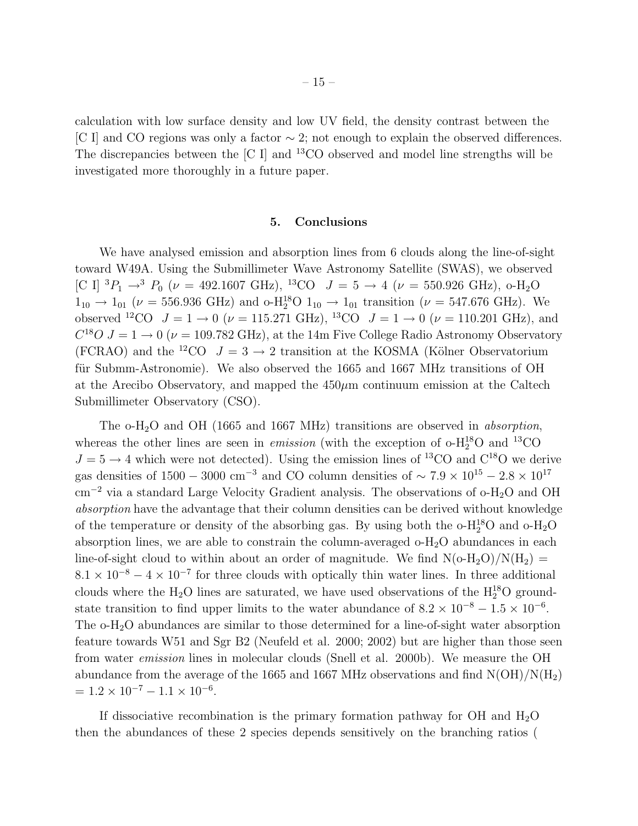calculation with low surface density and low UV field, the density contrast between the [C I] and CO regions was only a factor ∼ 2; not enough to explain the observed differences. The discrepancies between the [C I] and <sup>13</sup>CO observed and model line strengths will be investigated more thoroughly in a future paper.

#### 5. Conclusions

We have analysed emission and absorption lines from 6 clouds along the line-of-sight toward W49A. Using the Submillimeter Wave Astronomy Satellite (SWAS), we observed [C I]  ${}^{3}P_{1} \rightarrow {}^{3}P_{0}$  ( $\nu = 492.1607 \text{ GHz}$ ),  ${}^{13}CO$   $J = 5 \rightarrow 4$  ( $\nu = 550.926 \text{ GHz}$ ), o-H<sub>2</sub>O  $1_{10} \rightarrow 1_{01} (\nu = 556.936 \text{ GHz})$  and  $\text{o}-\text{H}_{2}^{18}\text{O} 1_{10} \rightarrow 1_{01}$  transition ( $\nu = 547.676 \text{ GHz}$ ). We observed <sup>12</sup>CO  $J = 1 \rightarrow 0$  ( $\nu = 115.271$  GHz), <sup>13</sup>CO  $J = 1 \rightarrow 0$  ( $\nu = 110.201$  GHz), and  $C^{18}O$   $J = 1 \rightarrow 0$  ( $\nu = 109.782 \text{ GHz}$ ), at the 14m Five College Radio Astronomy Observatory (FCRAO) and the <sup>12</sup>CO  $J = 3 \rightarrow 2$  transition at the KOSMA (Kölner Observatorium für Submm-Astronomie). We also observed the 1665 and 1667 MHz transitions of OH at the Arecibo Observatory, and mapped the  $450\mu$ m continuum emission at the Caltech Submillimeter Observatory (CSO).

The  $\text{o-H}_2\text{O}$  and OH (1665 and 1667 MHz) transitions are observed in *absorption*, whereas the other lines are seen in *emission* (with the exception of  $o-H_2^{18}O$  and <sup>13</sup>CO  $J = 5 \rightarrow 4$  which were not detected). Using the emission lines of <sup>13</sup>CO and C<sup>18</sup>O we derive gas densities of  $1500 - 3000$  cm<sup>-3</sup> and CO column densities of ~  $7.9 \times 10^{15} - 2.8 \times 10^{17}$ cm<sup>−</sup><sup>2</sup> via a standard Large Velocity Gradient analysis. The observations of o-H2O and OH absorption have the advantage that their column densities can be derived without knowledge of the temperature or density of the absorbing gas. By using both the  $o-H_2^1O$  and  $o-H_2O$ absorption lines, we are able to constrain the column-averaged  $o-H_2O$  abundances in each line-of-sight cloud to within about an order of magnitude. We find  $N(O-H_2O)/N(H_2)$  =  $8.1 \times 10^{-8} - 4 \times 10^{-7}$  for three clouds with optically thin water lines. In three additional clouds where the  $H_2O$  lines are saturated, we have used observations of the  $H_2^{18}O$  groundstate transition to find upper limits to the water abundance of  $8.2 \times 10^{-8} - 1.5 \times 10^{-6}$ . The o-H2O abundances are similar to those determined for a line-of-sight water absorption feature towards W51 and Sgr B2 (Neufeld et al. 2000; 2002) but are higher than those seen from water emission lines in molecular clouds (Snell et al. 2000b). We measure the OH abundance from the average of the 1665 and 1667 MHz observations and find  $N(OH)/N(H_2)$  $= 1.2 \times 10^{-7} - 1.1 \times 10^{-6}.$ 

If dissociative recombination is the primary formation pathway for OH and  $H_2O$ then the abundances of these 2 species depends sensitively on the branching ratios (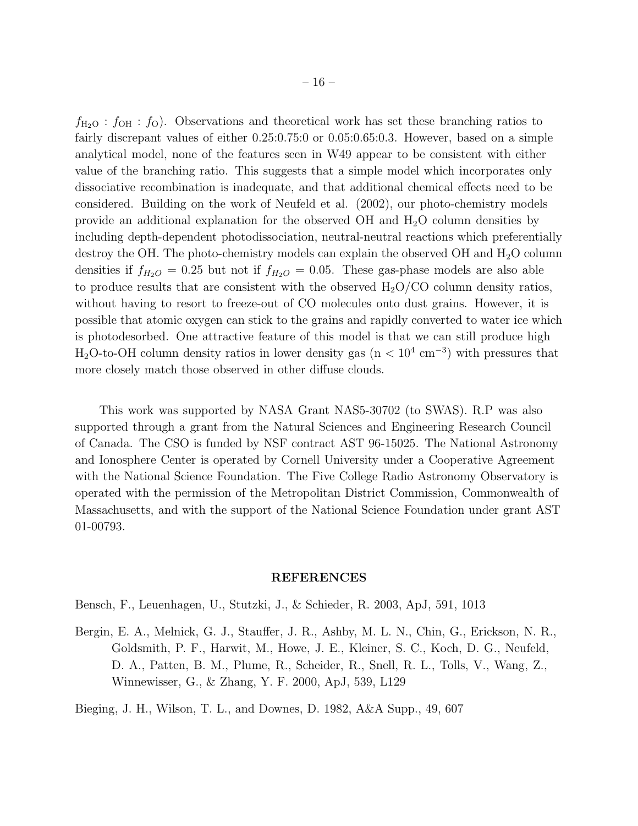$f_{\text{H}_2\text{O}}$ :  $f_{\text{OH}}$ :  $f_{\text{O}}$ ). Observations and theoretical work has set these branching ratios to fairly discrepant values of either 0.25:0.75:0 or 0.05:0.65:0.3. However, based on a simple analytical model, none of the features seen in W49 appear to be consistent with either value of the branching ratio. This suggests that a simple model which incorporates only dissociative recombination is inadequate, and that additional chemical effects need to be considered. Building on the work of Neufeld et al. (2002), our photo-chemistry models provide an additional explanation for the observed  $OH$  and  $H_2O$  column densities by including depth-dependent photodissociation, neutral-neutral reactions which preferentially destroy the OH. The photo-chemistry models can explain the observed OH and  $H_2O$  column densities if  $f_{H_2O} = 0.25$  but not if  $f_{H_2O} = 0.05$ . These gas-phase models are also able to produce results that are consistent with the observed  $H<sub>2</sub>O/CO$  column density ratios, without having to resort to freeze-out of CO molecules onto dust grains. However, it is possible that atomic oxygen can stick to the grains and rapidly converted to water ice which is photodesorbed. One attractive feature of this model is that we can still produce high  $H<sub>2</sub>O$ -to-OH column density ratios in lower density gas (n <  $10<sup>4</sup>$  cm<sup>-3</sup>) with pressures that more closely match those observed in other diffuse clouds.

This work was supported by NASA Grant NAS5-30702 (to SWAS). R.P was also supported through a grant from the Natural Sciences and Engineering Research Council of Canada. The CSO is funded by NSF contract AST 96-15025. The National Astronomy and Ionosphere Center is operated by Cornell University under a Cooperative Agreement with the National Science Foundation. The Five College Radio Astronomy Observatory is operated with the permission of the Metropolitan District Commission, Commonwealth of Massachusetts, and with the support of the National Science Foundation under grant AST 01-00793.

#### REFERENCES

Bensch, F., Leuenhagen, U., Stutzki, J., & Schieder, R. 2003, ApJ, 591, 1013

Bergin, E. A., Melnick, G. J., Stauffer, J. R., Ashby, M. L. N., Chin, G., Erickson, N. R., Goldsmith, P. F., Harwit, M., Howe, J. E., Kleiner, S. C., Koch, D. G., Neufeld, D. A., Patten, B. M., Plume, R., Scheider, R., Snell, R. L., Tolls, V., Wang, Z., Winnewisser, G., & Zhang, Y. F. 2000, ApJ, 539, L129

Bieging, J. H., Wilson, T. L., and Downes, D. 1982, A&A Supp., 49, 607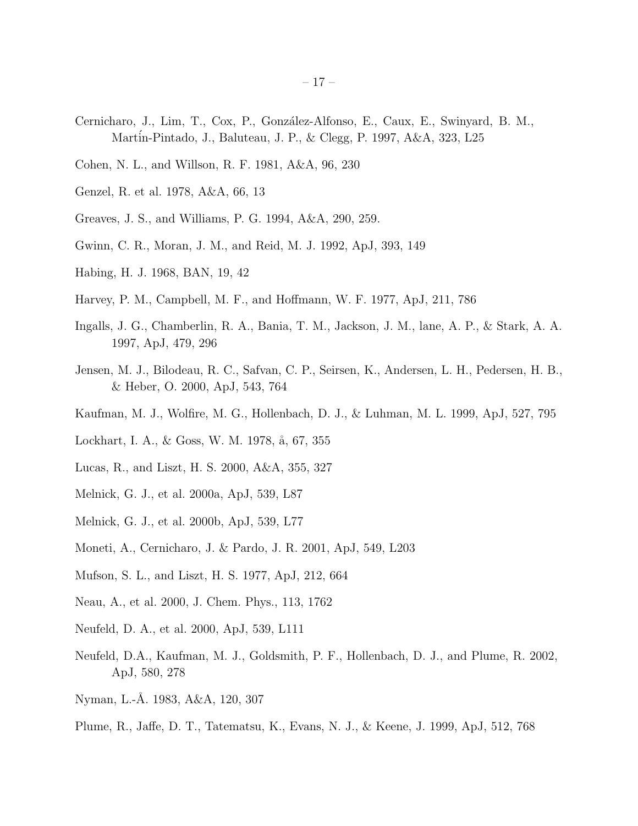- Cernicharo, J., Lim, T., Cox, P., Gonz´alez-Alfonso, E., Caux, E., Swinyard, B. M., Mart´in-Pintado, J., Baluteau, J. P., & Clegg, P. 1997, A&A, 323, L25
- Cohen, N. L., and Willson, R. F. 1981, A&A, 96, 230
- Genzel, R. et al. 1978, A&A, 66, 13
- Greaves, J. S., and Williams, P. G. 1994, A&A, 290, 259.
- Gwinn, C. R., Moran, J. M., and Reid, M. J. 1992, ApJ, 393, 149
- Habing, H. J. 1968, BAN, 19, 42
- Harvey, P. M., Campbell, M. F., and Hoffmann, W. F. 1977, ApJ, 211, 786
- Ingalls, J. G., Chamberlin, R. A., Bania, T. M., Jackson, J. M., lane, A. P., & Stark, A. A. 1997, ApJ, 479, 296
- Jensen, M. J., Bilodeau, R. C., Safvan, C. P., Seirsen, K., Andersen, L. H., Pedersen, H. B., & Heber, O. 2000, ApJ, 543, 764
- Kaufman, M. J., Wolfire, M. G., Hollenbach, D. J., & Luhman, M. L. 1999, ApJ, 527, 795
- Lockhart, I. A., & Goss, W. M. 1978, å, 67, 355
- Lucas, R., and Liszt, H. S. 2000, A&A, 355, 327
- Melnick, G. J., et al. 2000a, ApJ, 539, L87
- Melnick, G. J., et al. 2000b, ApJ, 539, L77
- Moneti, A., Cernicharo, J. & Pardo, J. R. 2001, ApJ, 549, L203
- Mufson, S. L., and Liszt, H. S. 1977, ApJ, 212, 664
- Neau, A., et al. 2000, J. Chem. Phys., 113, 1762
- Neufeld, D. A., et al. 2000, ApJ, 539, L111
- Neufeld, D.A., Kaufman, M. J., Goldsmith, P. F., Hollenbach, D. J., and Plume, R. 2002, ApJ, 580, 278
- Nyman, L.-Å. 1983, A&A, 120, 307
- Plume, R., Jaffe, D. T., Tatematsu, K., Evans, N. J., & Keene, J. 1999, ApJ, 512, 768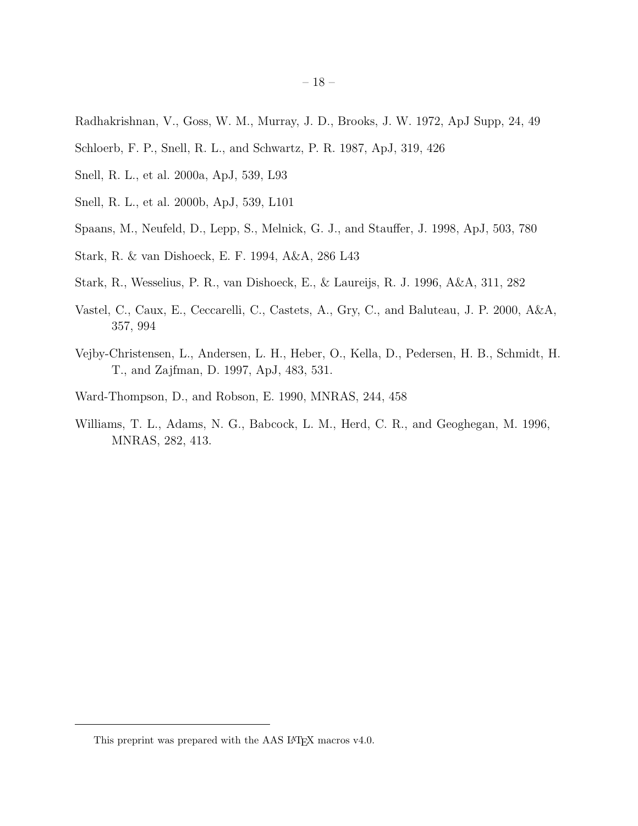- Radhakrishnan, V., Goss, W. M., Murray, J. D., Brooks, J. W. 1972, ApJ Supp, 24, 49
- Schloerb, F. P., Snell, R. L., and Schwartz, P. R. 1987, ApJ, 319, 426
- Snell, R. L., et al. 2000a, ApJ, 539, L93
- Snell, R. L., et al. 2000b, ApJ, 539, L101
- Spaans, M., Neufeld, D., Lepp, S., Melnick, G. J., and Stauffer, J. 1998, ApJ, 503, 780
- Stark, R. & van Dishoeck, E. F. 1994, A&A, 286 L43
- Stark, R., Wesselius, P. R., van Dishoeck, E., & Laureijs, R. J. 1996, A&A, 311, 282
- Vastel, C., Caux, E., Ceccarelli, C., Castets, A., Gry, C., and Baluteau, J. P. 2000, A&A, 357, 994
- Vejby-Christensen, L., Andersen, L. H., Heber, O., Kella, D., Pedersen, H. B., Schmidt, H. T., and Zajfman, D. 1997, ApJ, 483, 531.
- Ward-Thompson, D., and Robson, E. 1990, MNRAS, 244, 458
- Williams, T. L., Adams, N. G., Babcock, L. M., Herd, C. R., and Geoghegan, M. 1996, MNRAS, 282, 413.

<sup>– 18 –</sup>

This preprint was prepared with the AAS IATEX macros v4.0.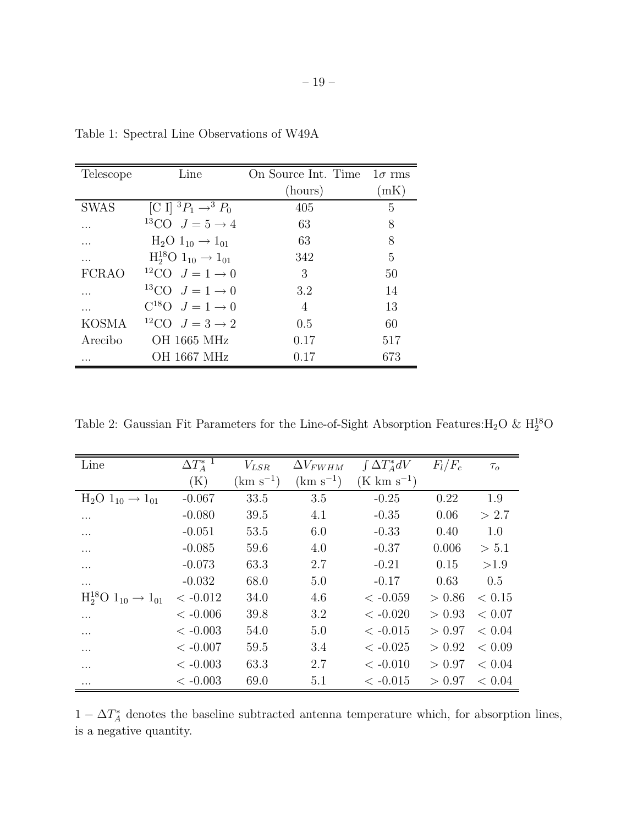| Telescope    | Line                                   | On Source Int. Time $1\sigma$ rms |      |
|--------------|----------------------------------------|-----------------------------------|------|
|              |                                        | (hours)                           | (mK) |
| <b>SWAS</b>  | [C I] ${}^3P_1 \rightarrow {}^3P_0$    | 405                               | 5    |
| .            | <sup>13</sup> CO $J = 5 \rightarrow 4$ | 63                                | 8    |
| .            | $H_2O 1_{10} \rightarrow 1_{01}$       | 63                                | 8    |
| .            | $H_2^{18}O 1_{10} \rightarrow 1_{01}$  | 342                               | 5    |
| <b>FCRAO</b> | <sup>12</sup> CO $J = 1 \rightarrow 0$ | 3                                 | 50   |
| .            | <sup>13</sup> CO $J=1\rightarrow 0$    | 3.2                               | 14   |
| .            | $C^{18}O$ $J=1 \rightarrow 0$          | 4                                 | 13   |
| KOSMA        | <sup>12</sup> CO $J=3\rightarrow 2$    | 0.5                               | 60   |
| Arecibo      | OH 1665 MHz                            | 0.17                              | 517  |
| .            | <b>OH 1667 MHz</b>                     | 0.17                              | 673  |

Table 1: Spectral Line Observations of W49A

Table 2: Gaussian Fit Parameters for the Line-of-Sight Absorption Features: $H_2O \& H_2^{18}O$ 

| Line                                  | $\Delta T_A^{*1}$ | $V_{LSR}$     | $\Delta V_{FWHM}$ | $\int \Delta T_A^* dV$  | $F_l/F_c$ | $\tau_{o}$ |
|---------------------------------------|-------------------|---------------|-------------------|-------------------------|-----------|------------|
|                                       | $(\mathrm{K})$    | $(km s^{-1})$ | $(km s^{-1})$     | $(K \text{ km s}^{-1})$ |           |            |
| $H_2O 1_{10} \rightarrow 1_{01}$      | $-0.067$          | 33.5          | 3.5               | $-0.25$                 | 0.22      | 1.9        |
| .                                     | $-0.080$          | 39.5          | 4.1               | $-0.35$                 | 0.06      | > 2.7      |
| .                                     | $-0.051$          | 53.5          | 6.0               | $-0.33$                 | 0.40      | 1.0        |
| .                                     | $-0.085$          | 59.6          | 4.0               | $-0.37$                 | 0.006     | > 5.1      |
| .                                     | $-0.073$          | 63.3          | 2.7               | $-0.21$                 | 0.15      | >1.9       |
| $\cdots$                              | $-0.032$          | 68.0          | 5.0               | $-0.17$                 | 0.63      | 0.5        |
| $H_2^{18}O 1_{10} \rightarrow 1_{01}$ | $<-0.012$         | 34.0          | 4.6               | $<-0.059$               | > 0.86    | < 0.15     |
| .                                     | $<-0.006$         | 39.8          | 3.2               | $<-0.020$               | > 0.93    | < 0.07     |
| .                                     | $<-0.003$         | 54.0          | 5.0               | $<-0.015$               | > 0.97    | < 0.04     |
| $\cdots$                              | $< -0.007$        | 59.5          | 3.4               | $<-0.025$               | > 0.92    | < 0.09     |
| .                                     | $<-0.003$         | 63.3          | 2.7               | $<-0.010$               | > 0.97    | < 0.04     |
|                                       | $< -0.003$        | 69.0          | 5.1               | $<-0.015$               | > 0.97    | < 0.04     |

 $1 - \Delta T_A^*$  denotes the baseline subtracted antenna temperature which, for absorption lines, is a negative quantity.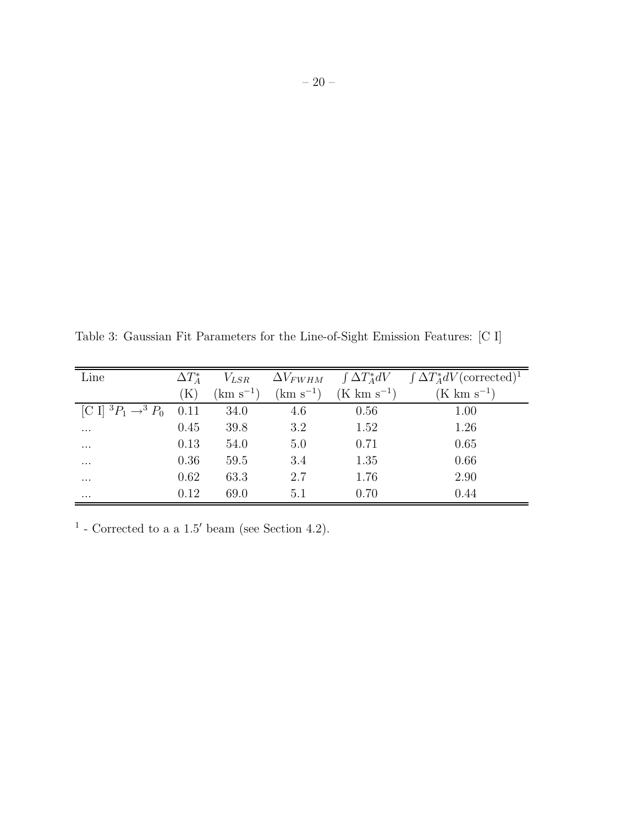Table 3: Gaussian Fit Parameters for the Line-of-Sight Emission Features: [C I]

| Line                                | $\Delta T_A^*$ | $V_{LSR}$     | $\Delta V_{FWHM}$ | $\int \Delta T_A^* dV$ | $\int \Delta T_A^* dV$ (corrected) <sup>1</sup> |
|-------------------------------------|----------------|---------------|-------------------|------------------------|-------------------------------------------------|
|                                     | K)             | $(km s^{-1})$ | $(km s^{-1})$     | $(K \ km s^{-1})$      | $(K \text{ km s}^{-1})$                         |
| [C I] ${}^3P_1 \rightarrow {}^3P_0$ | 0.11           | 34.0          | 4.6               | 0.56                   | 1.00                                            |
| $\cdots$                            | 0.45           | 39.8          | 3.2               | 1.52                   | 1.26                                            |
| $\cdots$                            | 0.13           | 54.0          | 5.0               | 0.71                   | 0.65                                            |
| $\cdots$                            | 0.36           | 59.5          | 3.4               | 1.35                   | 0.66                                            |
| $\cdots$                            | 0.62           | 63.3          | 2.7               | 1.76                   | 2.90                                            |
| $\cdots$                            | 0.12           | 69.0          | 5.1               | 0.70                   | 0.44                                            |

<sup>1</sup> - Corrected to a a 1.5' beam (see Section 4.2).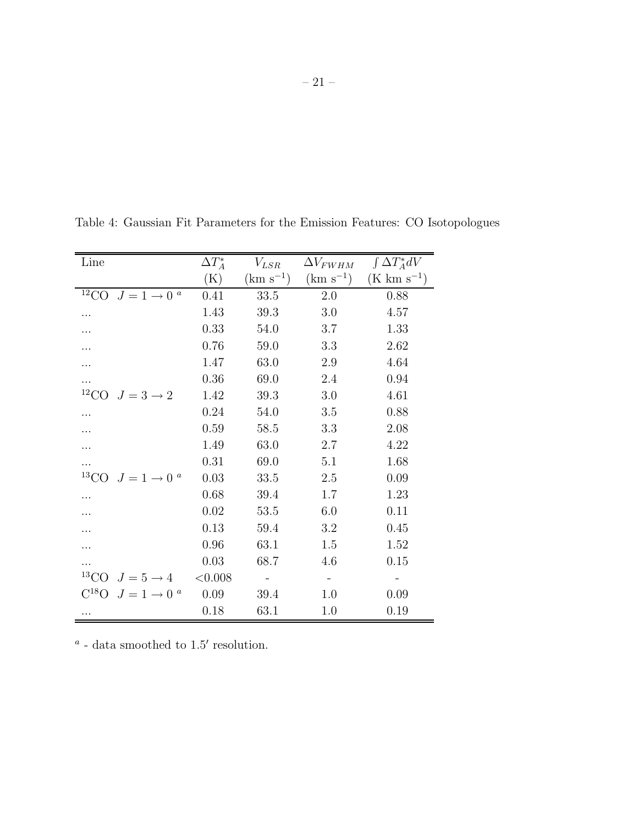– 21 –

| Line                                     | $\Delta T_A^*$ | $V_{LSR}$     | $\Delta V_{FWHM}$        | $\int \Delta T_A^* dV$ |
|------------------------------------------|----------------|---------------|--------------------------|------------------------|
|                                          | (K)            | $(km s^{-1})$ | $(km s^{-1})$            | $(K \ km \ s^{-1})$    |
| $12^{\circ}$ CO<br>$J=1\rightarrow 0^a$  | 0.41           | 33.5          | 2.0                      | 0.88                   |
|                                          | 1.43           | 39.3          | 3.0                      | 4.57                   |
|                                          | 0.33           | 54.0          | 3.7                      | 1.33                   |
|                                          | 0.76           | 59.0          | 3.3                      | 2.62                   |
|                                          | 1.47           | 63.0          | 2.9                      | 4.64                   |
| .                                        | 0.36           | 69.0          | 2.4                      | 0.94                   |
| <sup>12</sup> CO $J = 3 \rightarrow 2$   | 1.42           | 39.3          | 3.0                      | 4.61                   |
|                                          | 0.24           | 54.0          | 3.5                      | 0.88                   |
|                                          | 0.59           | 58.5          | 3.3                      | 2.08                   |
|                                          | 1.49           | 63.0          | 2.7                      | 4.22                   |
|                                          | 0.31           | 69.0          | 5.1                      | 1.68                   |
| <sup>13</sup> CO $J = 1 \rightarrow 0^a$ | 0.03           | 33.5          | $2.5\,$                  | 0.09                   |
|                                          | 0.68           | 39.4          | 1.7                      | 1.23                   |
|                                          | 0.02           | 53.5          | 6.0                      | 0.11                   |
|                                          | 0.13           | 59.4          | 3.2                      | 0.45                   |
|                                          | 0.96           | 63.1          | 1.5                      | 1.52                   |
| .                                        | 0.03           | 68.7          | 4.6                      | 0.15                   |
| <sup>13</sup> CO $J = 5 \rightarrow 4$   | < 0.008        |               | $\overline{\phantom{a}}$ |                        |
| $C^{18}O$ $J=1 \rightarrow 0^a$          | 0.09           | 39.4          | 1.0                      | 0.09                   |
| .                                        | 0.18           | 63.1          | 1.0                      | 0.19                   |

Table 4: Gaussian Fit Parameters for the Emission Features: CO Isotopologues

 $^a$  - data smoothed to  $1.5'$  resolution.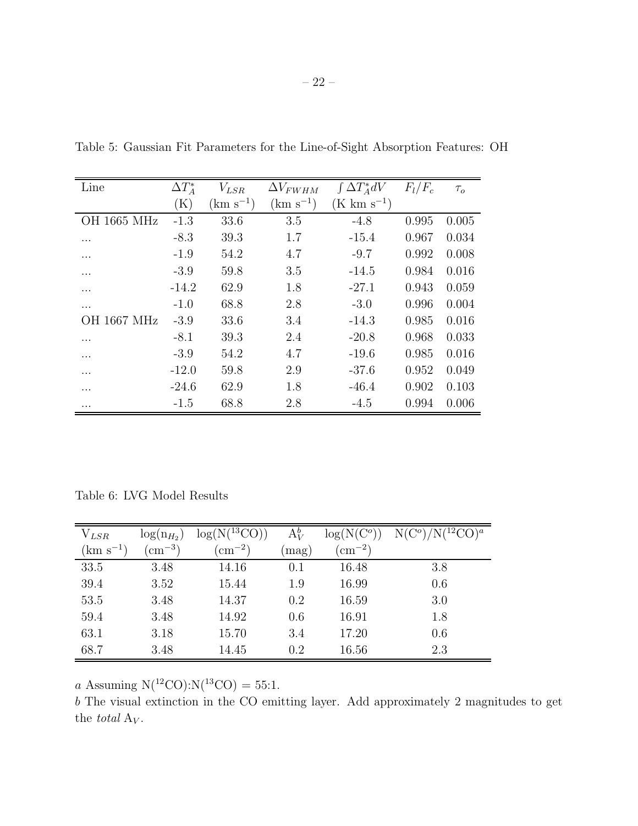| Line               | $\Delta T_A^*$ | $V_{LSR}$     | $\Delta V_{FWHM}$ | $\int \Delta T_A^* dV$  | $F_l/F_c$ | $\tau_{o}$ |
|--------------------|----------------|---------------|-------------------|-------------------------|-----------|------------|
|                    | $(\mathrm{K})$ | $(km s^{-1})$ | $(km s^{-1})$     | $(K \text{ km s}^{-1})$ |           |            |
| OH 1665 MHz        | $-1.3$         | 33.6          | 3.5               | $-4.8$                  | 0.995     | 0.005      |
| .                  | $-8.3$         | 39.3          | 1.7               | $-15.4$                 | 0.967     | 0.034      |
| .                  | $-1.9$         | 54.2          | 4.7               | $-9.7$                  | 0.992     | 0.008      |
| .                  | $-3.9$         | 59.8          | 3.5               | $-14.5$                 | 0.984     | 0.016      |
| $\cdots$           | $-14.2$        | 62.9          | 1.8               | $-27.1$                 | 0.943     | 0.059      |
| .                  | $-1.0$         | 68.8          | 2.8               | $-3.0$                  | 0.996     | 0.004      |
| <b>OH 1667 MHz</b> | $-3.9$         | 33.6          | 3.4               | $-14.3$                 | 0.985     | 0.016      |
| .                  | $-8.1$         | 39.3          | 2.4               | $-20.8$                 | 0.968     | 0.033      |
| .                  | $-3.9$         | 54.2          | 4.7               | $-19.6$                 | 0.985     | 0.016      |
| $\cdots$           | $-12.0$        | 59.8          | 2.9               | $-37.6$                 | 0.952     | 0.049      |
| .                  | $-24.6$        | 62.9          | 1.8               | $-46.4$                 | 0.902     | 0.103      |
| .                  | $-1.5$         | 68.8          | 2.8               | $-4.5$                  | 0.994     | 0.006      |

Table 5: Gaussian Fit Parameters for the Line-of-Sight Absorption Features: OH

Table 6: LVG Model Results

| $V_{LSR}$     | $\log(n_{H_2})$ | $log(N(^{13}CO))$ | $A_V^b$ | $\log(N(C^o))$  | $N(C^o)/N(^{12}CO)^a$ |
|---------------|-----------------|-------------------|---------|-----------------|-----------------------|
| $(km s^{-1})$ | $\rm (cm^{-3})$ | $\rm (cm^{-2})$   | mag)    | $\rm (cm^{-2})$ |                       |
| 33.5          | 3.48            | 14.16             | 0.1     | 16.48           | 3.8                   |
| 39.4          | 3.52            | 15.44             | 1.9     | 16.99           | 0.6                   |
| 53.5          | 3.48            | 14.37             | 0.2     | 16.59           | 3.0                   |
| 59.4          | 3.48            | 14.92             | 0.6     | 16.91           | 1.8                   |
| 63.1          | 3.18            | 15.70             | 3.4     | 17.20           | 0.6                   |
| 68.7          | 3.48            | 14.45             | 0.2     | 16.56           | 2.3                   |

a Assuming  $N(^{12}CO)$ : $N(^{13}CO) = 55:1$ .

b The visual extinction in the CO emitting layer. Add approximately 2 magnitudes to get the  $\it total$   ${\rm A}_V.$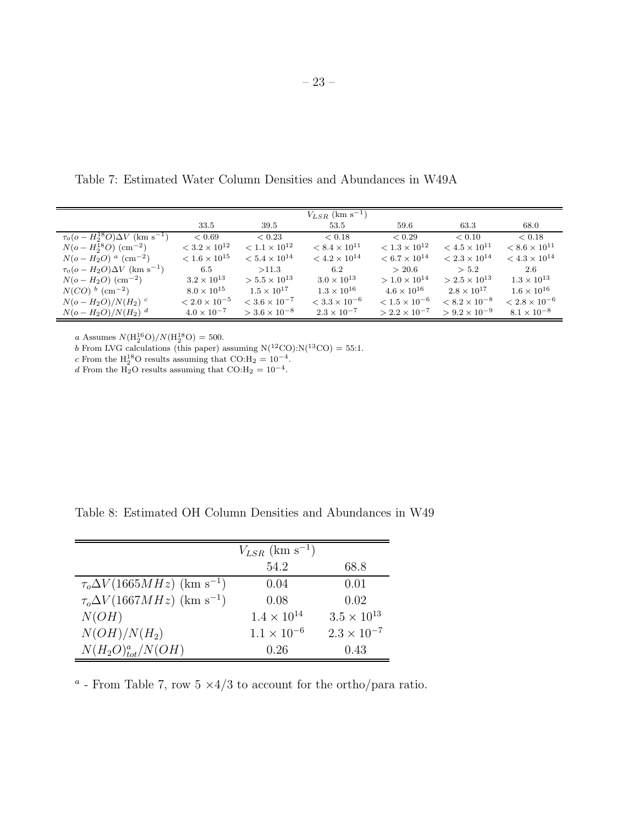Table 7: Estimated Water Column Densities and Abundances in W49A

|                                                         |                        |                        | $V_{LSR}$ (km s <sup>-1</sup> ) |                        |                        |                        |
|---------------------------------------------------------|------------------------|------------------------|---------------------------------|------------------------|------------------------|------------------------|
|                                                         | 33.5                   | 39.5                   | 53.5                            | 59.6                   | 63.3                   | 68.0                   |
| $\tau_o (o - H_2^{18}O) \Delta V$ (km s <sup>-1</sup> ) | < 0.69                 | < 0.23                 | < 0.18                          | < 0.29                 | < 0.10                 | < 0.18                 |
| $N(o-H_2^{18}O)$ (cm <sup>-2</sup> )                    | $< 3.2 \times 10^{12}$ | $< 1.1 \times 10^{12}$ | $< 8.4 \times 10^{11}$          | $< 1.3 \times 10^{12}$ | $< 4.5 \times 10^{11}$ | $< 8.6 \times 10^{11}$ |
| $N(o-H_2O)^{a}$ (cm <sup>-2</sup> )                     | $< 1.6 \times 10^{15}$ | $< 5.4 \times 10^{14}$ | $< 4.2 \times 10^{14}$          | $< 6.7 \times 10^{14}$ | $< 2.3 \times 10^{14}$ | $< 4.3 \times 10^{14}$ |
| $\tau_o(o-H_2O)\Delta V$ (km s <sup>-1</sup> )          | 6.5                    | >11.3                  | 6.2                             | > 20.6                 | > 5.2                  | 2.6                    |
| $N(o-H_2O)$ (cm <sup>-2</sup> )                         | $3.2 \times 10^{13}$   | $> 5.5 \times 10^{13}$ | $3.0 \times 10^{13}$            | $> 1.0 \times 10^{14}$ | $> 2.5 \times 10^{13}$ | $1.3 \times 10^{13}$   |
| $N(CO)^{b}$ (cm <sup>-2</sup> )                         | $8.0 \times 10^{15}$   | $1.5 \times 10^{17}$   | $1.3 \times 10^{16}$            | $4.6 \times 10^{16}$   | $2.8 \times 10^{17}$   | $1.6 \times 10^{16}$   |
| $N(o-H_2O)/N(H_2)$ <sup>c</sup>                         | $< 2.0 \times 10^{-5}$ | $< 3.6 \times 10^{-7}$ | $< 3.3 \times 10^{-6}$          | $< 1.5 \times 10^{-6}$ | $< 8.2 \times 10^{-8}$ | $< 2.8 \times 10^{-6}$ |
| $N(\rho - H_2O)/N(H_2)^d$                               | $4.0 \times 10^{-7}$   | $> 3.6 \times 10^{-8}$ | $2.3 \times 10^{-7}$            | $> 2.2 \times 10^{-7}$ | $> 9.2 \times 10^{-9}$ | $8.1 \times 10^{-8}$   |

a Assumes  $N(\rm{H}_2^{16}O)/N(\rm{H}_2^{18}O) = 500$ .

b From LVG calculations (this paper) assuming  $N(^{12}CO)$ : $N(^{13}CO) = 55:1$ .

c From the H<sub>2</sub><sup>18</sup>O results assuming that CO:H<sub>2</sub> = 10<sup>-4</sup>.<br>d From the H<sub>2</sub>O results assuming that CO:H<sub>2</sub> = 10<sup>-4</sup>.

Table 8: Estimated OH Column Densities and Abundances in W49

|                                                    | $V_{LSR}$ (km s <sup>-1</sup> ) |                      |
|----------------------------------------------------|---------------------------------|----------------------|
|                                                    | 54.2                            | 68.8                 |
| $\tau_o \Delta V (1665 MHz)$ (km s <sup>-1</sup> ) | 0.04                            | 0.01                 |
| $\tau_o \Delta V (1667 MHz)$ (km s <sup>-1</sup> ) | 0.08                            | 0.02                 |
| N(OH)                                              | $1.4 \times 10^{14}$            | $3.5 \times 10^{13}$ |
| $N(OH)/N(H_2)$                                     | $1.1 \times 10^{-6}$            | $2.3 \times 10^{-7}$ |
| $N(H_2O)_{tot}^a/N(OH)$                            | 0.26                            | 0.43                 |

<sup>a</sup> - From Table 7, row  $5 \times 4/3$  to account for the ortho/para ratio.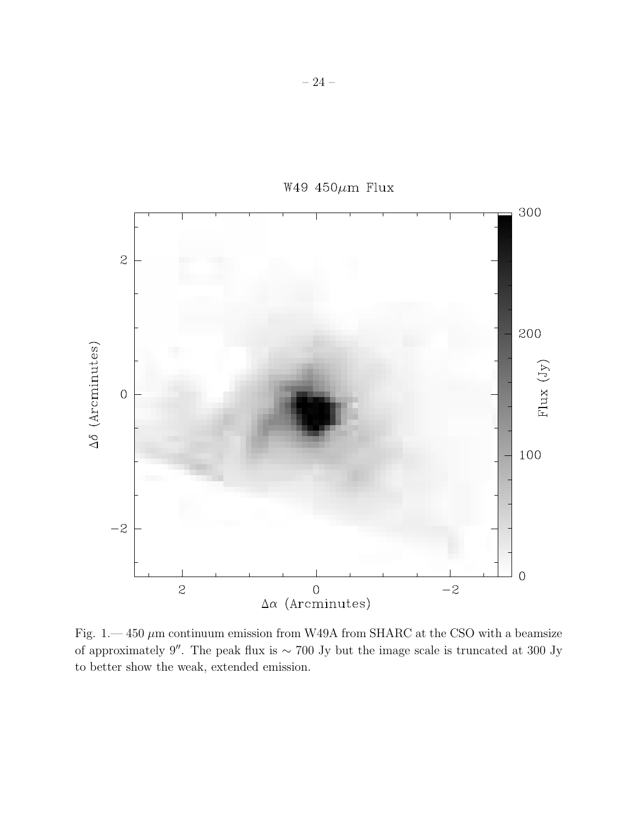

W49 450 $\mu$ m Flux

Fig. 1.—450  $\mu$ m continuum emission from W49A from SHARC at the CSO with a beamsize of approximately 9′′. The peak flux is <sup>∼</sup> 700 Jy but the image scale is truncated at 300 Jy to better show the weak, extended emission.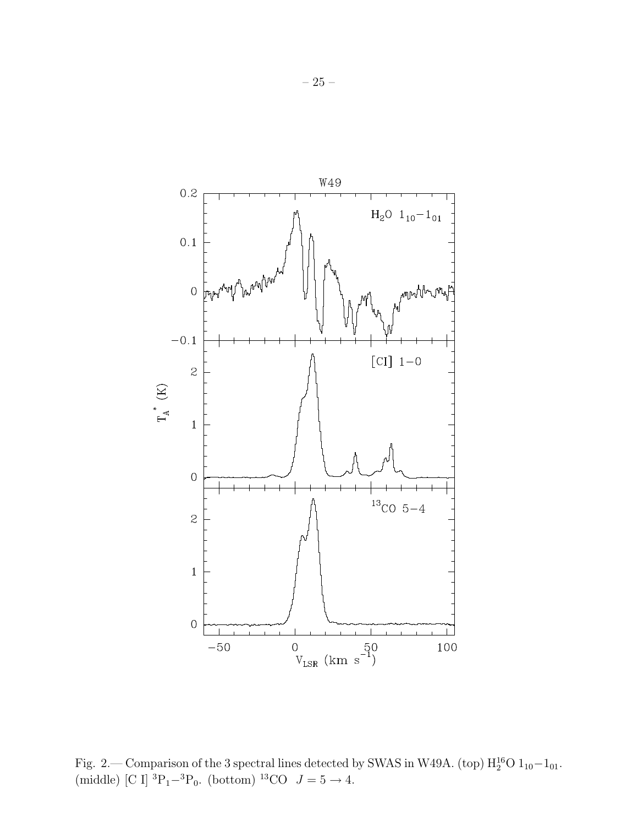

Fig. 2.— Comparison of the 3 spectral lines detected by SWAS in W49A. (top)  $H_2^{16}O 1_{10}-1_{01}$ . (middle) [C I]  ${}^{3}P_{1}-{}^{3}P_{0}$ . (bottom)  ${}^{13}CO$   $J=5\rightarrow 4$ .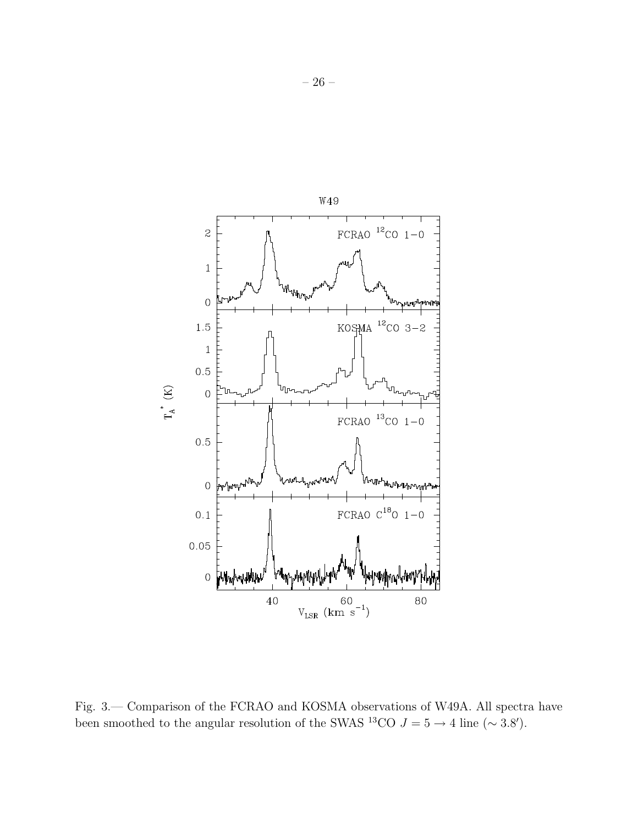

Fig. 3.— Comparison of the FCRAO and KOSMA observations of W49A. All spectra have been smoothed to the angular resolution of the SWAS <sup>13</sup>CO  $J = 5 \rightarrow 4$  line (~ 3.8').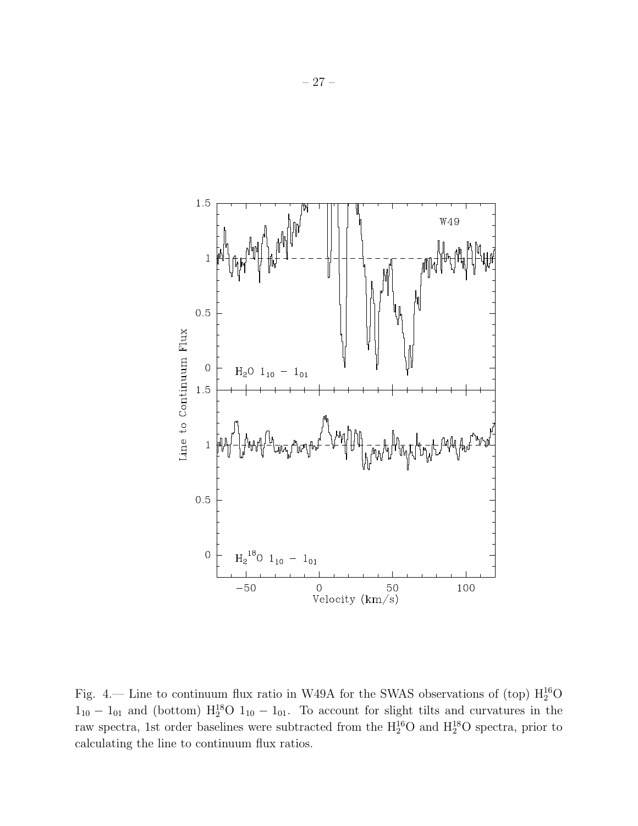

Fig. 4.— Line to continuum flux ratio in W49A for the SWAS observations of (top)  $\rm H_2^{16}O$  $1_{10} - 1_{01}$  and (bottom)  $\rm H_2^{18}O$   $1_{10} - 1_{01}$ . To account for slight tilts and curvatures in the raw spectra, 1st order baselines were subtracted from the  $\rm H_2^{16}O$  and  $\rm H_2^{18}O$  spectra, prior to calculating the line to continuum flux ratios.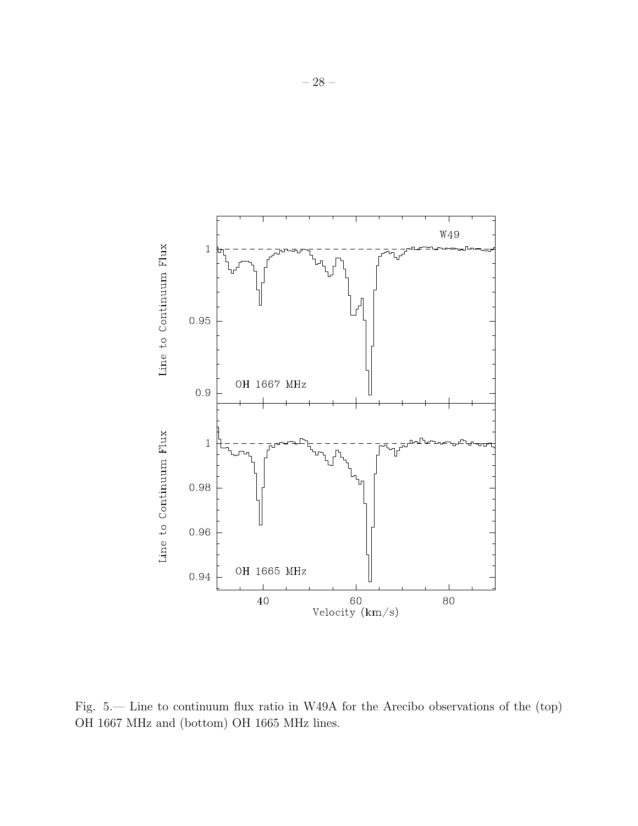

Fig. 5.— Line to continuum flux ratio in W49A for the Arecibo observations of the (top) OH 1667 MHz and (bottom) OH 1665 MHz lines.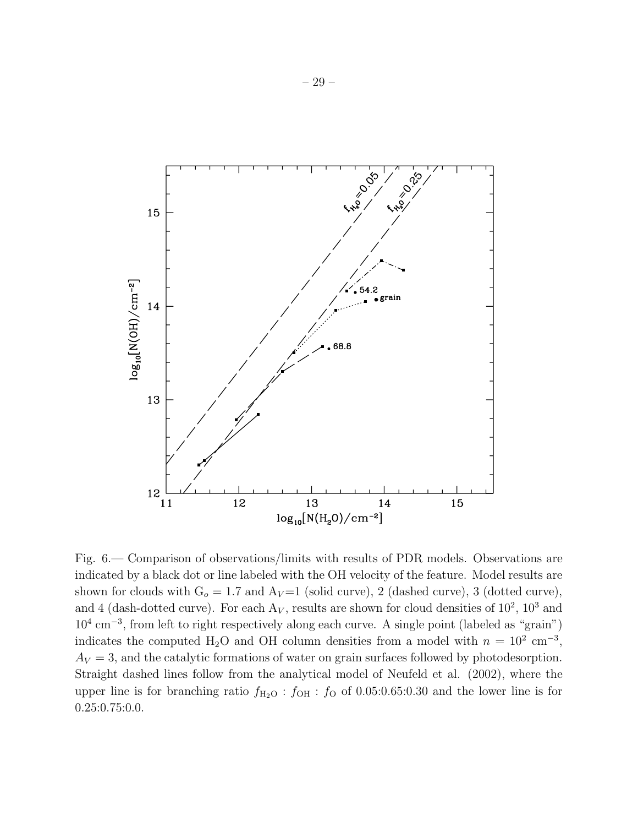

Fig. 6.— Comparison of observations/limits with results of PDR models. Observations are indicated by a black dot or line labeled with the OH velocity of the feature. Model results are shown for clouds with  $G_o = 1.7$  and  $A_V = 1$  (solid curve), 2 (dashed curve), 3 (dotted curve), and 4 (dash-dotted curve). For each  $A_V$ , results are shown for cloud densities of  $10^2$ ,  $10^3$  and  $10^4$  cm<sup>-3</sup>, from left to right respectively along each curve. A single point (labeled as "grain") indicates the computed H<sub>2</sub>O and OH column densities from a model with  $n = 10^2$  cm<sup>-3</sup>,  $A_V = 3$ , and the catalytic formations of water on grain surfaces followed by photodesorption. Straight dashed lines follow from the analytical model of Neufeld et al. (2002), where the upper line is for branching ratio  $f_{\text{H}_2\text{O}}$  :  $f_{\text{OH}}$  :  $f_{\text{O}}$  of 0.05:0.65:0.30 and the lower line is for 0.25:0.75:0.0.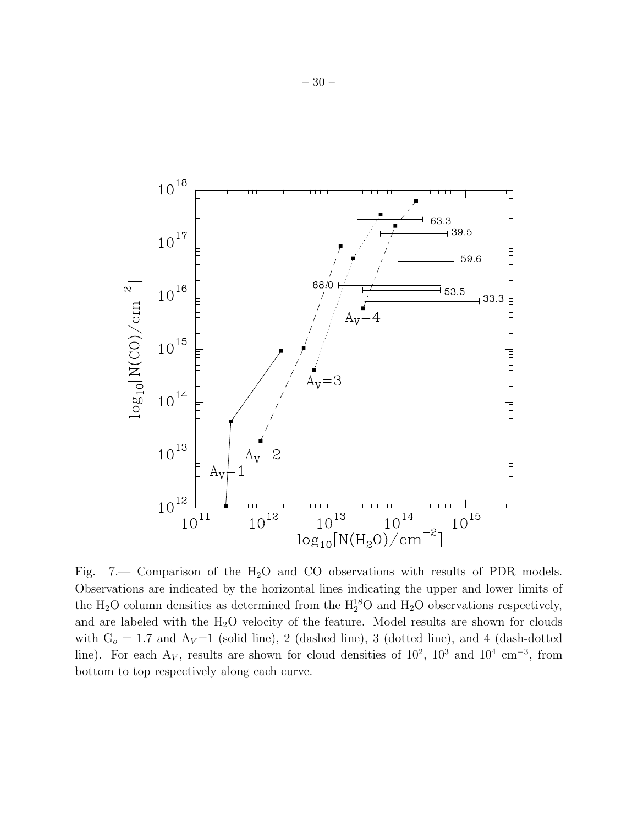

Fig. 7.— Comparison of the H<sub>2</sub>O and CO observations with results of PDR models. Observations are indicated by the horizontal lines indicating the upper and lower limits of the  $H_2O$  column densities as determined from the  $H_2^{18}O$  and  $H_2O$  observations respectively, and are labeled with the  $H_2O$  velocity of the feature. Model results are shown for clouds with  $G<sub>o</sub> = 1.7$  and  $A<sub>V</sub>=1$  (solid line), 2 (dashed line), 3 (dotted line), and 4 (dash-dotted line). For each  $A_V$ , results are shown for cloud densities of 10<sup>2</sup>, 10<sup>3</sup> and 10<sup>4</sup> cm<sup>-3</sup>, from bottom to top respectively along each curve.